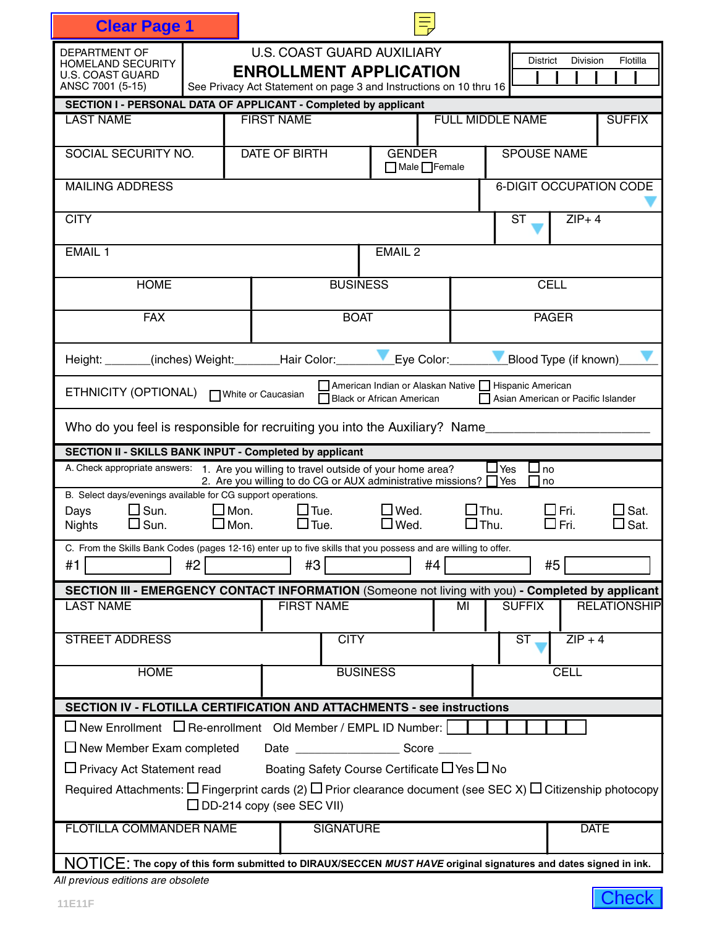| <b>Clear Page 1</b>                                                                                                         |                                                                                          |                                                                                                                      |                                                                                      |                         |               |                                    |  |  |  |
|-----------------------------------------------------------------------------------------------------------------------------|------------------------------------------------------------------------------------------|----------------------------------------------------------------------------------------------------------------------|--------------------------------------------------------------------------------------|-------------------------|---------------|------------------------------------|--|--|--|
| <b>DEPARTMENT OF</b><br><b>HOMELAND SECURITY</b>                                                                            |                                                                                          | <b>U.S. COAST GUARD AUXILIARY</b><br><b>District</b><br><b>Division</b><br>Flotilla<br><b>ENROLLMENT APPLICATION</b> |                                                                                      |                         |               |                                    |  |  |  |
| <b>U.S. COAST GUARD</b><br>ANSC 7001 (5-15)                                                                                 |                                                                                          | See Privacy Act Statement on page 3 and Instructions on 10 thru 16                                                   |                                                                                      |                         |               |                                    |  |  |  |
| SECTION I - PERSONAL DATA OF APPLICANT - Completed by applicant                                                             |                                                                                          |                                                                                                                      |                                                                                      |                         |               |                                    |  |  |  |
| <b>LAST NAME</b>                                                                                                            |                                                                                          | <b>FIRST NAME</b>                                                                                                    |                                                                                      | <b>FULL MIDDLE NAME</b> |               | <b>SUFFIX</b>                      |  |  |  |
| SOCIAL SECURITY NO.                                                                                                         |                                                                                          | DATE OF BIRTH                                                                                                        | <b>GENDER</b><br>$\Box$ Male $\Box$ Female                                           | <b>SPOUSE NAME</b>      |               |                                    |  |  |  |
| <b>MAILING ADDRESS</b>                                                                                                      |                                                                                          |                                                                                                                      |                                                                                      |                         |               | 6-DIGIT OCCUPATION CODE            |  |  |  |
| <b>CITY</b>                                                                                                                 |                                                                                          |                                                                                                                      |                                                                                      |                         | <b>ST</b>     | $ZIP+4$                            |  |  |  |
| <b>EMAIL 1</b>                                                                                                              |                                                                                          |                                                                                                                      | EMAIL <sub>2</sub>                                                                   |                         |               |                                    |  |  |  |
| <b>HOME</b>                                                                                                                 |                                                                                          | <b>BUSINESS</b>                                                                                                      |                                                                                      |                         | <b>CELL</b>   |                                    |  |  |  |
| <b>FAX</b>                                                                                                                  |                                                                                          | <b>BOAT</b>                                                                                                          |                                                                                      |                         | <b>PAGER</b>  |                                    |  |  |  |
| Height: ______(inches) Weight: _______Hair Color: ____                                                                      |                                                                                          |                                                                                                                      | Eye Color:                                                                           |                         |               | Blood Type (if known)              |  |  |  |
| ETHNICITY (OPTIONAL)                                                                                                        |                                                                                          | □ White or Caucasian                                                                                                 | American Indian or Alaskan Native     Hispanic American<br>Black or African American |                         |               | Asian American or Pacific Islander |  |  |  |
| Who do you feel is responsible for recruiting you into the Auxiliary? Name__________                                        |                                                                                          |                                                                                                                      |                                                                                      |                         |               |                                    |  |  |  |
| SECTION II - SKILLS BANK INPUT - Completed by applicant                                                                     |                                                                                          |                                                                                                                      |                                                                                      |                         |               |                                    |  |  |  |
| A. Check appropriate answers: 1. Are you willing to travel outside of your home area?                                       |                                                                                          | 2. Are you willing to do CG or AUX administrative missions? Ves                                                      |                                                                                      | $\sqcup$ Yes            | ⊿ no<br>l no  |                                    |  |  |  |
| B. Select days/evenings available for CG support operations.<br>$\square$ Sun.<br>Days                                      | $\square$ Mon.                                                                           | $\Box$ Tue.                                                                                                          | $\Box$ Wed.                                                                          | $\Box$ Thu.             | $\Box$ Fri.   | Sat.                               |  |  |  |
| $\Box$ Sun.<br><b>Nights</b>                                                                                                | $\Box$ Mon.                                                                              | $\Box$ Tue.                                                                                                          | $\Box$ Wed.                                                                          | $\Box$ Thu.             | $\Box$ Fri.   | Sat.<br>ΙI                         |  |  |  |
| C. From the Skills Bank Codes (pages 12-16) enter up to five skills that you possess and are willing to offer.              |                                                                                          |                                                                                                                      |                                                                                      |                         |               |                                    |  |  |  |
| #2<br>#1                                                                                                                    |                                                                                          | #3                                                                                                                   | #4                                                                                   |                         | #5            |                                    |  |  |  |
| SECTION III - EMERGENCY CONTACT INFORMATION (Someone not living with you) - Completed by applicant                          |                                                                                          |                                                                                                                      |                                                                                      |                         |               |                                    |  |  |  |
| <b>LAST NAME</b>                                                                                                            |                                                                                          | <b>FIRST NAME</b>                                                                                                    |                                                                                      | МI                      | <b>SUFFIX</b> | <b>RELATIONSHIP</b>                |  |  |  |
| <b>STREET ADDRESS</b>                                                                                                       |                                                                                          | <b>CITY</b>                                                                                                          |                                                                                      |                         | ST            | $ZIP + 4$                          |  |  |  |
| <b>HOME</b>                                                                                                                 |                                                                                          | <b>BUSINESS</b>                                                                                                      |                                                                                      |                         |               | <b>CELL</b>                        |  |  |  |
| <b>SECTION IV - FLOTILLA CERTIFICATION AND ATTACHMENTS - see instructions</b>                                               |                                                                                          |                                                                                                                      |                                                                                      |                         |               |                                    |  |  |  |
| $\Box$ New Enrollment $\Box$ Re-enrollment Old Member / EMPL ID Number:                                                     |                                                                                          |                                                                                                                      |                                                                                      |                         |               |                                    |  |  |  |
| $\Box$ New Member Exam completed                                                                                            |                                                                                          |                                                                                                                      |                                                                                      |                         |               |                                    |  |  |  |
|                                                                                                                             | $\Box$ Privacy Act Statement read Boating Safety Course Certificate $\Box$ Yes $\Box$ No |                                                                                                                      |                                                                                      |                         |               |                                    |  |  |  |
| Required Attachments: $\Box$ Fingerprint cards (2) $\Box$ Prior clearance document (see SEC X) $\Box$ Citizenship photocopy |                                                                                          | $\Box$ DD-214 copy (see SEC VII)                                                                                     |                                                                                      |                         |               |                                    |  |  |  |
| <b>FLOTILLA COMMANDER NAME</b>                                                                                              |                                                                                          | <b>SIGNATURE</b>                                                                                                     |                                                                                      |                         |               | <b>DATE</b>                        |  |  |  |
|                                                                                                                             |                                                                                          |                                                                                                                      |                                                                                      |                         |               |                                    |  |  |  |
| NOTICE: The copy of this form submitted to DIRAUX/SECCEN MUST HAVE original signatures and dates signed in ink.             |                                                                                          |                                                                                                                      |                                                                                      |                         |               |                                    |  |  |  |
| All previous editions are obsolete                                                                                          |                                                                                          |                                                                                                                      |                                                                                      |                         |               | <b>Check</b>                       |  |  |  |

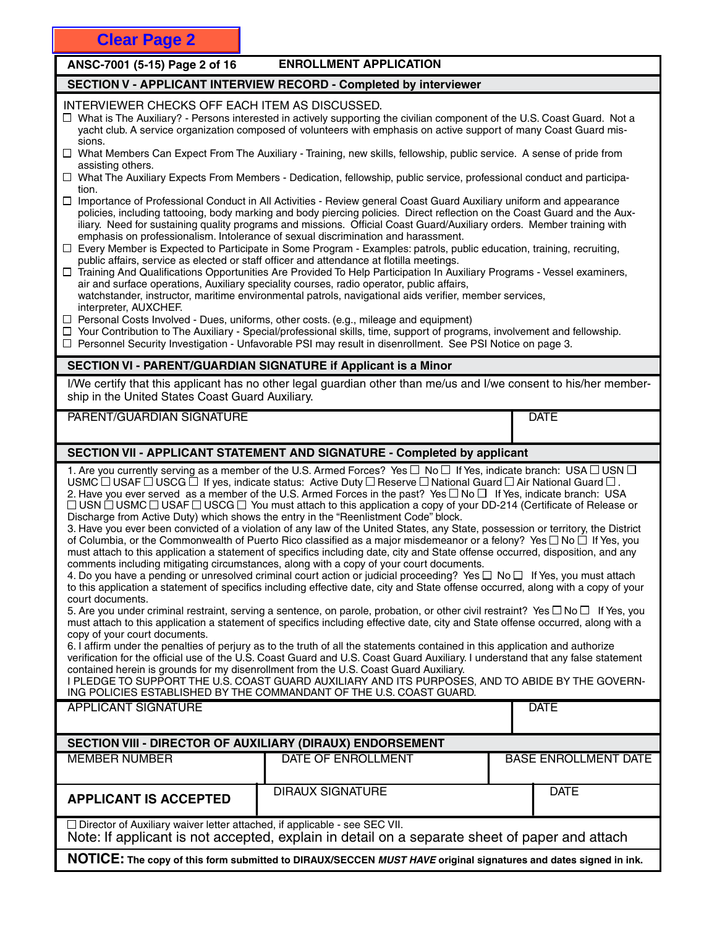# ANSC-7001 (5-15) Page 2 of 16 ENROLLMENT APPLICATION

# **SECTION V - APPLICANT INTERVIEW RECORD - Completed by interviewer**

# INTERVIEWER CHECKS OFF EACH ITEM AS DISCUSSED.

- $\Box$  What is The Auxiliary? Persons interested in actively supporting the civilian component of the U.S. Coast Guard. Not a yacht club. A service organization composed of volunteers with emphasis on active support of many Coast Guard missions.
- What Members Can Expect From The Auxiliary Training, new skills, fellowship, public service. A sense of pride from assisting others.
- What The Auxiliary Expects From Members Dedication, fellowship, public service, professional conduct and participation.
- $\Box$  Importance of Professional Conduct in All Activities Review general Coast Guard Auxiliary uniform and appearance policies, including tattooing, body marking and body piercing policies. Direct reflection on the Coast Guard and the Auxiliary. Need for sustaining quality programs and missions. Official Coast Guard/Auxiliary orders. Member training with emphasis on professionalism. Intolerance of sexual discrimination and harassment.
- $\Box$  Every Member is Expected to Participate in Some Program Examples: patrols, public education, training, recruiting, public affairs, service as elected or staff officer and attendance at flotilla meetings.
- Training And Qualifications Opportunities Are Provided To Help Participation In Auxiliary Programs Vessel examiners, air and surface operations, Auxiliary speciality courses, radio operator, public affairs, watchstander, instructor, maritime environmental patrols, navigational aids verifier, member services, interpreter, AUXCHEF.
- $\Box$  Personal Costs Involved Dues, uniforms, other costs. (e.g., mileage and equipment)
- Your Contribution to The Auxiliary Special/professional skills, time, support of programs, involvement and fellowship.
- $\Box$  Personnel Security Investigation Unfavorable PSI may result in disenrollment. See PSI Notice on page 3.

# **SECTION VI - PARENT/GUARDIAN SIGNATURE if Applicant is a Minor**

I/We certify that this applicant has no other legal guardian other than me/us and I/we consent to his/her membership in the United States Coast Guard Auxiliary.

PARENT/GUARDIAN SIGNATURE **External of the contract of the contract of the contract of the contract of the contract of the contract of the contract of the contract of the contract of the contract of the contract of the con** 

# **SECTION VII - APPLICANT STATEMENT AND SIGNATURE - Completed by applicant**

1. Are you currently serving as a member of the U.S. Armed Forces? Yes  $\Box$  No  $\Box$  If Yes, indicate branch: USA  $\Box$  USN  $\Box$ USMC  $\Box$  USAF  $\Box$  USCG  $\bar{\Box}$  If yes, indicate status: Active Duty  $\Box$  Reserve  $\Box$  National Guard  $\Box$  Air National Guard  $\Box$ . 2. Have you ever served as a member of the U.S. Armed Forces in the past? Yes  $\Box$  No  $\Box$  If Yes, indicate branch: USA  $\Box$  USN  $\dotBox$  USMC  $\Box$  USCF  $\Box$  USCG  $\Box$  You must attach to this application a copy of your DD-214 (Certificate of Release or Discharge from Active Duty) which shows the entry in the "Reenlistment Code" block.

3. Have you ever been convicted of a violation of any law of the United States, any State, possession or territory, the District of Columbia, or the Commonwealth of Puerto Rico classified as a major misdemeanor or a felony? Yes  $\Box$  No  $\Box$  If Yes, you must attach to this application a statement of specifics including date, city and State offense occurred, disposition, and any comments including mitigating circumstances, along with a copy of your court documents.

4. Do you have a pending or unresolved criminal court action or judicial proceeding? Yes  $\Box$  No  $\Box$  If Yes, you must attach to this application a statement of specifics including effective date, city and State offense occurred, along with a copy of your court documents.

5. Are you under criminal restraint, serving a sentence, on parole, probation, or other civil restraint? Yes  $\Box$  No  $\Box$  If Yes, you must attach to this application a statement of specifics including effective date, city and State offense occurred, along with a copy of your court documents.

6. I affirm under the penalties of perjury as to the truth of all the statements contained in this application and authorize verification for the official use of the U.S. Coast Guard and U.S. Coast Guard Auxiliary. I understand that any false statement contained herein is grounds for my disenrollment from the U.S. Coast Guard Auxiliary.

I PLEDGE TO SUPPORT THE U.S. COAST GUARD AUXILIARY AND ITS PURPOSES, AND TO ABIDE BY THE GOVERN-ING POLICIES ESTABLISHED BY THE COMMANDANT OF THE U.S. COAST GUARD.

|                                                                                                                                                                                    | ING POLICIES ESTABLISHED BY THE COMMANDANT OF THE U.S. COAST GUARD. |  |                             |  |  |  |
|------------------------------------------------------------------------------------------------------------------------------------------------------------------------------------|---------------------------------------------------------------------|--|-----------------------------|--|--|--|
| APPLICANT SIGNATURE                                                                                                                                                                |                                                                     |  | <b>DATE</b>                 |  |  |  |
|                                                                                                                                                                                    |                                                                     |  |                             |  |  |  |
| <b>SECTION VIII - DIRECTOR OF AUXILIARY (DIRAUX) ENDORSEMENT</b>                                                                                                                   |                                                                     |  |                             |  |  |  |
| MEMBER NUMBER                                                                                                                                                                      | DATE OF ENROLLMENT                                                  |  | <b>BASE ENROLLMENT DATE</b> |  |  |  |
| <b>APPLICANT IS ACCEPTED</b>                                                                                                                                                       | DIRAUX SIGNATURE                                                    |  | <b>DATE</b>                 |  |  |  |
| $\Box$ Director of Auxiliary waiver letter attached, if applicable - see SEC VII.<br>Note: If applicant is not accepted, explain in detail on a separate sheet of paper and attach |                                                                     |  |                             |  |  |  |

**NOTICE: The copy of this form submitted to DIRAUX/SECCEN** *MUST HAVE* **original signatures and dates signed in ink.**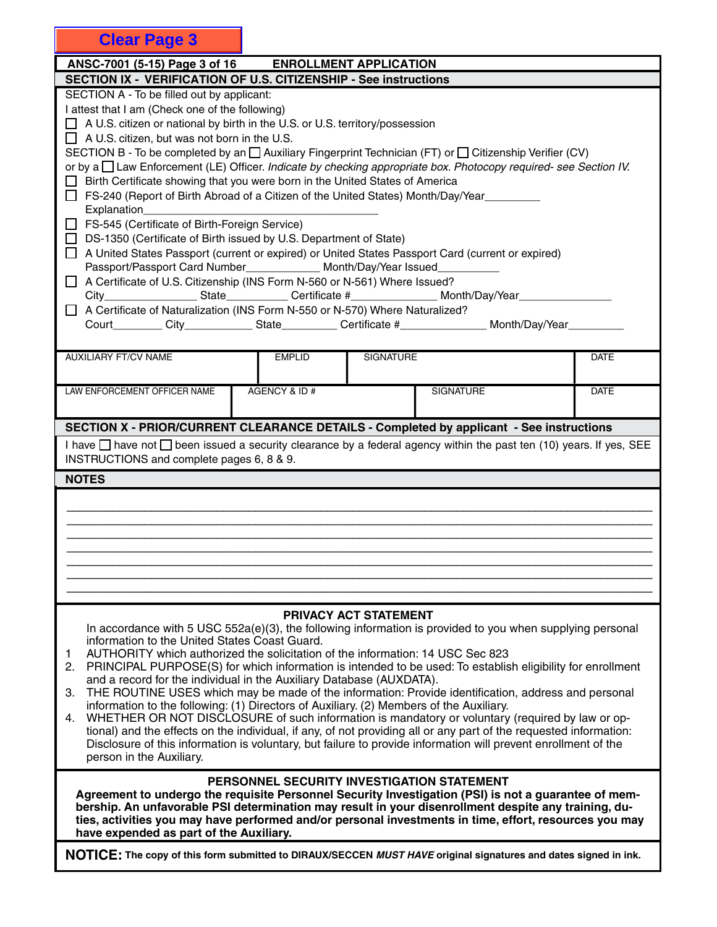| <b>Clear Page 3</b>                                                                                                                                                                                                                                                                                                                                                                                                                                                                                                                                                                                                                                                                                                                                                                                                                                                                                                                                                                                                                                                                                                                                                                                                                                                                                                                                     |                                            |                       |                  |             |
|---------------------------------------------------------------------------------------------------------------------------------------------------------------------------------------------------------------------------------------------------------------------------------------------------------------------------------------------------------------------------------------------------------------------------------------------------------------------------------------------------------------------------------------------------------------------------------------------------------------------------------------------------------------------------------------------------------------------------------------------------------------------------------------------------------------------------------------------------------------------------------------------------------------------------------------------------------------------------------------------------------------------------------------------------------------------------------------------------------------------------------------------------------------------------------------------------------------------------------------------------------------------------------------------------------------------------------------------------------|--------------------------------------------|-----------------------|------------------|-------------|
| ANSC-7001 (5-15) Page 3 of 16 ENROLLMENT APPLICATION                                                                                                                                                                                                                                                                                                                                                                                                                                                                                                                                                                                                                                                                                                                                                                                                                                                                                                                                                                                                                                                                                                                                                                                                                                                                                                    |                                            |                       |                  |             |
| SECTION IX - VERIFICATION OF U.S. CITIZENSHIP - See instructions                                                                                                                                                                                                                                                                                                                                                                                                                                                                                                                                                                                                                                                                                                                                                                                                                                                                                                                                                                                                                                                                                                                                                                                                                                                                                        |                                            |                       |                  |             |
| SECTION A - To be filled out by applicant:<br>I attest that I am (Check one of the following)<br>$\Box$ A U.S. citizen or national by birth in the U.S. or U.S. territory/possession<br>$\Box$ A U.S. citizen, but was not born in the U.S.<br>SECTION B - To be completed by an $\Box$ Auxiliary Fingerprint Technician (FT) or $\Box$ Citizenship Verifier (CV)<br>or by a I Law Enforcement (LE) Officer. Indicate by checking appropriate box. Photocopy required- see Section IV.<br>□ Birth Certificate showing that you were born in the United States of America<br>□ FS-240 (Report of Birth Abroad of a Citizen of the United States) Month/Day/Year<br>Explanation_<br>□ FS-545 (Certificate of Birth-Foreign Service)<br>□ DS-1350 (Certificate of Birth issued by U.S. Department of State)<br>A United States Passport (current or expired) or United States Passport Card (current or expired)<br>Passport/Passport Card Number_____________ Month/Day/Year Issued_<br>A Certificate of U.S. Citizenship (INS Form N-560 or N-561) Where Issued?<br>City___________________State_____________Certificate #_______________________Month/Day/Year__<br>A Certificate of Naturalization (INS Form N-550 or N-570) Where Naturalized?<br>Court_________City_____________State___________Certificate #__________________Month/Day/Year_______ |                                            |                       |                  |             |
|                                                                                                                                                                                                                                                                                                                                                                                                                                                                                                                                                                                                                                                                                                                                                                                                                                                                                                                                                                                                                                                                                                                                                                                                                                                                                                                                                         |                                            |                       |                  |             |
| <b>AUXILIARY FT/CV NAME</b>                                                                                                                                                                                                                                                                                                                                                                                                                                                                                                                                                                                                                                                                                                                                                                                                                                                                                                                                                                                                                                                                                                                                                                                                                                                                                                                             | <b>EMPLID</b>                              | <b>SIGNATURE</b>      |                  | <b>DATE</b> |
| LAW ENFORCEMENT OFFICER NAME                                                                                                                                                                                                                                                                                                                                                                                                                                                                                                                                                                                                                                                                                                                                                                                                                                                                                                                                                                                                                                                                                                                                                                                                                                                                                                                            | AGENCY & ID#                               |                       | <b>SIGNATURE</b> | <b>DATE</b> |
| SECTION X - PRIOR/CURRENT CLEARANCE DETAILS - Completed by applicant - See instructions                                                                                                                                                                                                                                                                                                                                                                                                                                                                                                                                                                                                                                                                                                                                                                                                                                                                                                                                                                                                                                                                                                                                                                                                                                                                 |                                            |                       |                  |             |
| I have $\Box$ have not $\Box$ been issued a security clearance by a federal agency within the past ten (10) years. If yes, SEE<br>INSTRUCTIONS and complete pages 6, 8 & 9.                                                                                                                                                                                                                                                                                                                                                                                                                                                                                                                                                                                                                                                                                                                                                                                                                                                                                                                                                                                                                                                                                                                                                                             |                                            |                       |                  |             |
| <b>NOTES</b>                                                                                                                                                                                                                                                                                                                                                                                                                                                                                                                                                                                                                                                                                                                                                                                                                                                                                                                                                                                                                                                                                                                                                                                                                                                                                                                                            |                                            |                       |                  |             |
|                                                                                                                                                                                                                                                                                                                                                                                                                                                                                                                                                                                                                                                                                                                                                                                                                                                                                                                                                                                                                                                                                                                                                                                                                                                                                                                                                         |                                            |                       |                  |             |
| In accordance with 5 USC $552a(e)(3)$ , the following information is provided to you when supplying personal<br>information to the United States Coast Guard.<br>AUTHORITY which authorized the solicitation of the information: 14 USC Sec 823<br>1.<br>PRINCIPAL PURPOSE(S) for which information is intended to be used: To establish eligibility for enrollment<br>2.<br>and a record for the individual in the Auxiliary Database (AUXDATA).<br>THE ROUTINE USES which may be made of the information: Provide identification, address and personal<br>З.<br>information to the following: (1) Directors of Auxiliary. (2) Members of the Auxiliary.<br>WHETHER OR NOT DISCLOSURE of such information is mandatory or voluntary (required by law or op-<br>4.<br>tional) and the effects on the individual, if any, of not providing all or any part of the requested information:<br>Disclosure of this information is voluntary, but failure to provide information will prevent enrollment of the<br>person in the Auxiliary.                                                                                                                                                                                                                                                                                                                   |                                            | PRIVACY ACT STATEMENT |                  |             |
|                                                                                                                                                                                                                                                                                                                                                                                                                                                                                                                                                                                                                                                                                                                                                                                                                                                                                                                                                                                                                                                                                                                                                                                                                                                                                                                                                         | PERSONNEL SECURITY INVESTIGATION STATEMENT |                       |                  |             |

**Agreement to undergo the requisite Personnel Security Investigation (PSI) is not a guarantee of membership. An unfavorable PSI determination may result in your disenrollment despite any training, duties, activities you may have performed and/or personal investments in time, effort, resources you may have expended as part of the Auxiliary.**

**NOTICE: The copy of this form submitted to DIRAUX/SECCEN** *MUST HAVE* **original signatures and dates signed in ink.**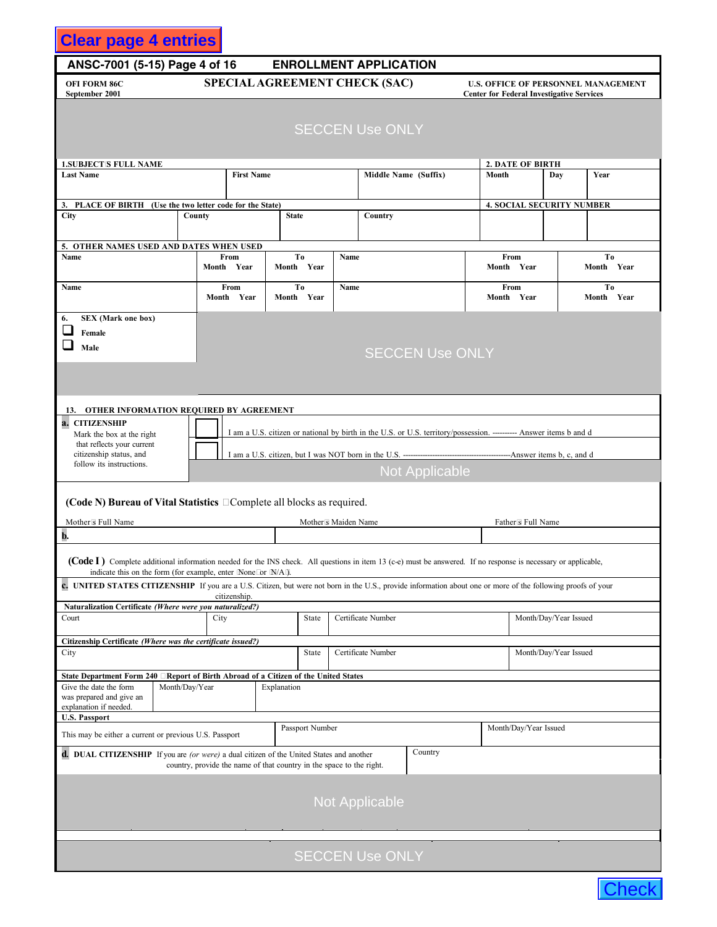# **Clear page 4 entries**

# **ANSC-7001 (5-15) Page 4 of 16 ENROLLMENT APPLICATION**

**OFI FORM 86C U.S. OFFICE OF PERSONNEL MANAGEMENT SPECIAL AGREEMENT CHECK (SAC) September 2001** Center for Federal Investigative Services

| <b>SECCEN Use ONLY</b> |  |
|------------------------|--|
|                        |  |

| <b>1.SUBJECTS FULL NAME</b>                                                                                                                                    |                |                                                                      |                              |                 |      |                        |                                                                                                                    |                       | <b>2. DATE OF BIRTH</b> |                                  |                |  |
|----------------------------------------------------------------------------------------------------------------------------------------------------------------|----------------|----------------------------------------------------------------------|------------------------------|-----------------|------|------------------------|--------------------------------------------------------------------------------------------------------------------|-----------------------|-------------------------|----------------------------------|----------------|--|
| <b>Last Name</b>                                                                                                                                               |                | <b>First Name</b>                                                    |                              |                 |      | Middle Name (Suffix)   |                                                                                                                    | Month                 |                         | Day                              | Year           |  |
|                                                                                                                                                                |                |                                                                      |                              |                 |      |                        |                                                                                                                    |                       |                         |                                  |                |  |
| PLACE OF BIRTH (Use the two letter code for the State)<br>3.                                                                                                   |                |                                                                      |                              |                 |      |                        |                                                                                                                    |                       |                         | <b>4. SOCIAL SECURITY NUMBER</b> |                |  |
| City                                                                                                                                                           | County         |                                                                      | <b>State</b>                 |                 |      | Country                |                                                                                                                    |                       |                         |                                  |                |  |
|                                                                                                                                                                |                |                                                                      |                              |                 |      |                        |                                                                                                                    |                       |                         |                                  |                |  |
| 5. OTHER NAMES USED AND DATES WHEN USED                                                                                                                        |                |                                                                      |                              |                 |      |                        |                                                                                                                    |                       |                         |                                  |                |  |
| Name                                                                                                                                                           |                | From<br>Month Year                                                   | T <sub>0</sub><br>Month Year |                 | Name |                        |                                                                                                                    | From                  |                         |                                  | To             |  |
|                                                                                                                                                                |                |                                                                      |                              |                 |      |                        |                                                                                                                    | Month Year            |                         |                                  | Month Year     |  |
| Name                                                                                                                                                           |                | From                                                                 | To                           |                 | Name |                        |                                                                                                                    | From                  |                         |                                  | T <sub>0</sub> |  |
|                                                                                                                                                                |                | Month Year                                                           | Month Year                   |                 |      |                        |                                                                                                                    | Month Year            |                         |                                  | Month Year     |  |
| <b>SEX</b> (Mark one box)<br>6.                                                                                                                                |                |                                                                      |                              |                 |      |                        |                                                                                                                    |                       |                         |                                  |                |  |
| Female                                                                                                                                                         |                |                                                                      |                              |                 |      |                        |                                                                                                                    |                       |                         |                                  |                |  |
|                                                                                                                                                                |                |                                                                      |                              |                 |      |                        |                                                                                                                    |                       |                         |                                  |                |  |
| Male                                                                                                                                                           |                |                                                                      |                              |                 |      |                        | <b>SECCEN Use ONLY</b>                                                                                             |                       |                         |                                  |                |  |
|                                                                                                                                                                |                |                                                                      |                              |                 |      |                        |                                                                                                                    |                       |                         |                                  |                |  |
|                                                                                                                                                                |                |                                                                      |                              |                 |      |                        |                                                                                                                    |                       |                         |                                  |                |  |
|                                                                                                                                                                |                |                                                                      |                              |                 |      |                        |                                                                                                                    |                       |                         |                                  |                |  |
| 13. OTHER INFORMATION REQUIRED BY AGREEMENT                                                                                                                    |                |                                                                      |                              |                 |      |                        |                                                                                                                    |                       |                         |                                  |                |  |
| <b>CITIZENSHIP</b><br>a.                                                                                                                                       |                |                                                                      |                              |                 |      |                        |                                                                                                                    |                       |                         |                                  |                |  |
| Mark the box at the right                                                                                                                                      |                |                                                                      |                              |                 |      |                        | I am a U.S. citizen or national by birth in the U.S. or U.S. territory/possession. ---------- Answer items b and d |                       |                         |                                  |                |  |
| that reflects your current                                                                                                                                     |                |                                                                      |                              |                 |      |                        |                                                                                                                    |                       |                         |                                  |                |  |
| citizenship status, and<br>follow its instructions.                                                                                                            |                |                                                                      |                              |                 |      |                        |                                                                                                                    |                       |                         |                                  |                |  |
|                                                                                                                                                                |                |                                                                      |                              |                 |      |                        | <b>Not Applicable</b>                                                                                              |                       |                         |                                  |                |  |
|                                                                                                                                                                |                |                                                                      |                              |                 |      |                        |                                                                                                                    |                       |                         |                                  |                |  |
| (Code N) Bureau of Vital Statistics <b>Complete all blocks</b> as required.                                                                                    |                |                                                                      |                              |                 |      |                        |                                                                                                                    |                       |                         |                                  |                |  |
|                                                                                                                                                                |                |                                                                      |                              |                 |      |                        |                                                                                                                    |                       |                         |                                  |                |  |
| Mother <sub>s</sub> Full Name                                                                                                                                  |                | Mother <sub>s</sub> Maiden Name<br>Father's Full Name                |                              |                 |      |                        |                                                                                                                    |                       |                         |                                  |                |  |
| b.                                                                                                                                                             |                |                                                                      |                              |                 |      |                        |                                                                                                                    |                       |                         |                                  |                |  |
|                                                                                                                                                                |                |                                                                      |                              |                 |      |                        |                                                                                                                    |                       |                         |                                  |                |  |
| (Code I) Complete additional information needed for the INS check. All questions in item 13 (c-e) must be answered. If no response is necessary or applicable, |                |                                                                      |                              |                 |      |                        |                                                                                                                    |                       |                         |                                  |                |  |
| indicate this on the form (for example, enter None or N/A).                                                                                                    |                |                                                                      |                              |                 |      |                        |                                                                                                                    |                       |                         |                                  |                |  |
| c. UNITED STATES CITIZENSHIP If you are a U.S. Citizen, but were not born in the U.S., provide information about one or more of the following proofs of your   |                | citizenship.                                                         |                              |                 |      |                        |                                                                                                                    |                       |                         |                                  |                |  |
| Naturalization Certificate (Where were you naturalized?)                                                                                                       |                |                                                                      |                              |                 |      |                        |                                                                                                                    |                       |                         |                                  |                |  |
| Court                                                                                                                                                          | City           |                                                                      |                              | State           |      | Certificate Number     |                                                                                                                    |                       |                         | Month/Day/Year Issued            |                |  |
|                                                                                                                                                                |                |                                                                      |                              |                 |      |                        |                                                                                                                    |                       |                         |                                  |                |  |
| Citizenship Certificate (Where was the certificate issued?)                                                                                                    |                |                                                                      |                              |                 |      |                        |                                                                                                                    |                       |                         |                                  |                |  |
| City                                                                                                                                                           |                |                                                                      |                              | State           |      | Certificate Number     |                                                                                                                    |                       |                         | Month/Day/Year Issued            |                |  |
| State Department Form 240 □ Report of Birth Abroad of a Citizen of the United States                                                                           |                |                                                                      |                              |                 |      |                        |                                                                                                                    |                       |                         |                                  |                |  |
| Give the date the form                                                                                                                                         | Month/Day/Year |                                                                      | Explanation                  |                 |      |                        |                                                                                                                    |                       |                         |                                  |                |  |
| was prepared and give an                                                                                                                                       |                |                                                                      |                              |                 |      |                        |                                                                                                                    |                       |                         |                                  |                |  |
| explanation if needed.                                                                                                                                         |                |                                                                      |                              |                 |      |                        |                                                                                                                    |                       |                         |                                  |                |  |
| <b>U.S. Passport</b>                                                                                                                                           |                |                                                                      |                              | Passport Number |      |                        |                                                                                                                    | Month/Day/Year Issued |                         |                                  |                |  |
| This may be either a current or previous U.S. Passport                                                                                                         |                |                                                                      |                              |                 |      |                        |                                                                                                                    |                       |                         |                                  |                |  |
| <b>d.</b> DUAL CITIZENSHIP If you are <i>(or were)</i> a dual citizen of the United States and another                                                         |                |                                                                      |                              |                 |      |                        | Country                                                                                                            |                       |                         |                                  |                |  |
|                                                                                                                                                                |                | country, provide the name of that country in the space to the right. |                              |                 |      |                        |                                                                                                                    |                       |                         |                                  |                |  |
|                                                                                                                                                                |                |                                                                      |                              |                 |      |                        |                                                                                                                    |                       |                         |                                  |                |  |
|                                                                                                                                                                |                |                                                                      |                              |                 |      |                        |                                                                                                                    |                       |                         |                                  |                |  |
|                                                                                                                                                                |                |                                                                      |                              |                 |      | <b>Not Applicable</b>  |                                                                                                                    |                       |                         |                                  |                |  |
|                                                                                                                                                                |                |                                                                      |                              |                 |      |                        |                                                                                                                    |                       |                         |                                  |                |  |
|                                                                                                                                                                |                |                                                                      |                              |                 |      |                        |                                                                                                                    |                       |                         |                                  |                |  |
|                                                                                                                                                                |                |                                                                      |                              |                 |      |                        |                                                                                                                    |                       |                         |                                  |                |  |
|                                                                                                                                                                |                |                                                                      |                              |                 |      | <b>SECCEN Use ONLY</b> |                                                                                                                    |                       |                         |                                  |                |  |
|                                                                                                                                                                |                |                                                                      |                              |                 |      |                        |                                                                                                                    |                       |                         |                                  |                |  |
|                                                                                                                                                                |                |                                                                      |                              |                 |      |                        |                                                                                                                    |                       |                         |                                  |                |  |

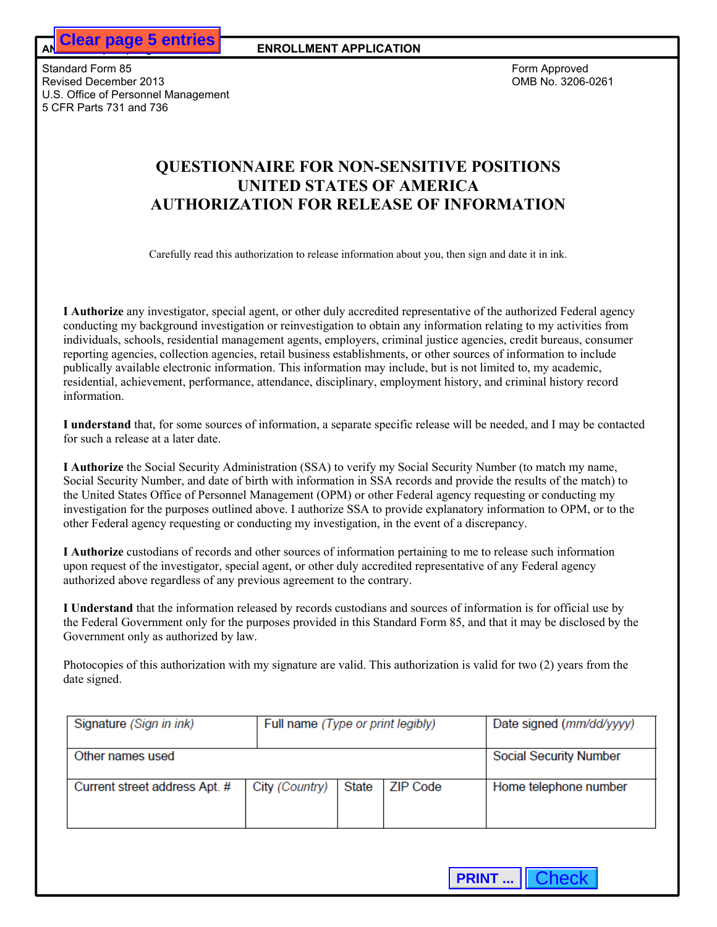# **QUESTIONNAIRE FOR NON-SENSITIVE POSITIONS UNITED STATES OF AMERICA AUTHORIZATION FOR RELEASE OF INFORMATION**

| <b>Clear page 5 entries</b>                                                                                                                                                                                                                                                                                                                                               | <b>ENROLLMENT APPLICATION</b>     |       |                 |                                                                                                                                                                                                                                                                                                                                                                    |
|---------------------------------------------------------------------------------------------------------------------------------------------------------------------------------------------------------------------------------------------------------------------------------------------------------------------------------------------------------------------------|-----------------------------------|-------|-----------------|--------------------------------------------------------------------------------------------------------------------------------------------------------------------------------------------------------------------------------------------------------------------------------------------------------------------------------------------------------------------|
| ndard Form 85<br>ised December 2013<br>. Office of Personnel Management<br>FR Parts 731 and 736                                                                                                                                                                                                                                                                           |                                   |       |                 | Form Approved<br>OMB No. 3206-0261                                                                                                                                                                                                                                                                                                                                 |
|                                                                                                                                                                                                                                                                                                                                                                           | <b>UNITED STATES OF AMERICA</b>   |       |                 | <b>QUESTIONNAIRE FOR NON-SENSITIVE POSITIONS</b><br><b>AUTHORIZATION FOR RELEASE OF INFORMATION</b>                                                                                                                                                                                                                                                                |
|                                                                                                                                                                                                                                                                                                                                                                           |                                   |       |                 | Carefully read this authorization to release information about you, then sign and date it in ink.                                                                                                                                                                                                                                                                  |
| reporting agencies, collection agencies, retail business establishments, or other sources of information to include<br>publically available electronic information. This information may include, but is not limited to, my academic,<br>residential, achievement, performance, attendance, disciplinary, employment history, and criminal history record<br>information. |                                   |       |                 | I Authorize any investigator, special agent, or other duly accredited representative of the authorized Federal agency<br>conducting my background investigation or reinvestigation to obtain any information relating to my activities from<br>individuals, schools, residential management agents, employers, criminal justice agencies, credit bureaus, consumer |
| for such a release at a later date.                                                                                                                                                                                                                                                                                                                                       |                                   |       |                 | I understand that, for some sources of information, a separate specific release will be needed, and I may be contacted                                                                                                                                                                                                                                             |
| I Authorize the Social Security Administration (SSA) to verify my Social Security Number (to match my name,<br>the United States Office of Personnel Management (OPM) or other Federal agency requesting or conducting my<br>other Federal agency requesting or conducting my investigation, in the event of a discrepancy.                                               |                                   |       |                 | Social Security Number, and date of birth with information in SSA records and provide the results of the match) to<br>investigation for the purposes outlined above. I authorize SSA to provide explanatory information to OPM, or to the                                                                                                                          |
| I Authorize custodians of records and other sources of information pertaining to me to release such information<br>upon request of the investigator, special agent, or other duly accredited representative of any Federal agency<br>authorized above regardless of any previous agreement to the contrary.                                                               |                                   |       |                 |                                                                                                                                                                                                                                                                                                                                                                    |
| Government only as authorized by law.                                                                                                                                                                                                                                                                                                                                     |                                   |       |                 | I Understand that the information released by records custodians and sources of information is for official use by<br>the Federal Government only for the purposes provided in this Standard Form 85, and that it may be disclosed by the                                                                                                                          |
| date signed.                                                                                                                                                                                                                                                                                                                                                              |                                   |       |                 | Photocopies of this authorization with my signature are valid. This authorization is valid for two (2) years from the                                                                                                                                                                                                                                              |
| Signature (Sign in ink)                                                                                                                                                                                                                                                                                                                                                   | Full name (Type or print legibly) |       |                 | Date signed (mm/dd/yyyy)                                                                                                                                                                                                                                                                                                                                           |
| Other names used                                                                                                                                                                                                                                                                                                                                                          |                                   |       |                 | <b>Social Security Number</b>                                                                                                                                                                                                                                                                                                                                      |
| Current street address Apt. #                                                                                                                                                                                                                                                                                                                                             | City (Country)                    | State | <b>ZIP Code</b> | Home telephone number                                                                                                                                                                                                                                                                                                                                              |
|                                                                                                                                                                                                                                                                                                                                                                           |                                   |       |                 |                                                                                                                                                                                                                                                                                                                                                                    |
|                                                                                                                                                                                                                                                                                                                                                                           |                                   |       |                 | <b>PRINT    Check</b>                                                                                                                                                                                                                                                                                                                                              |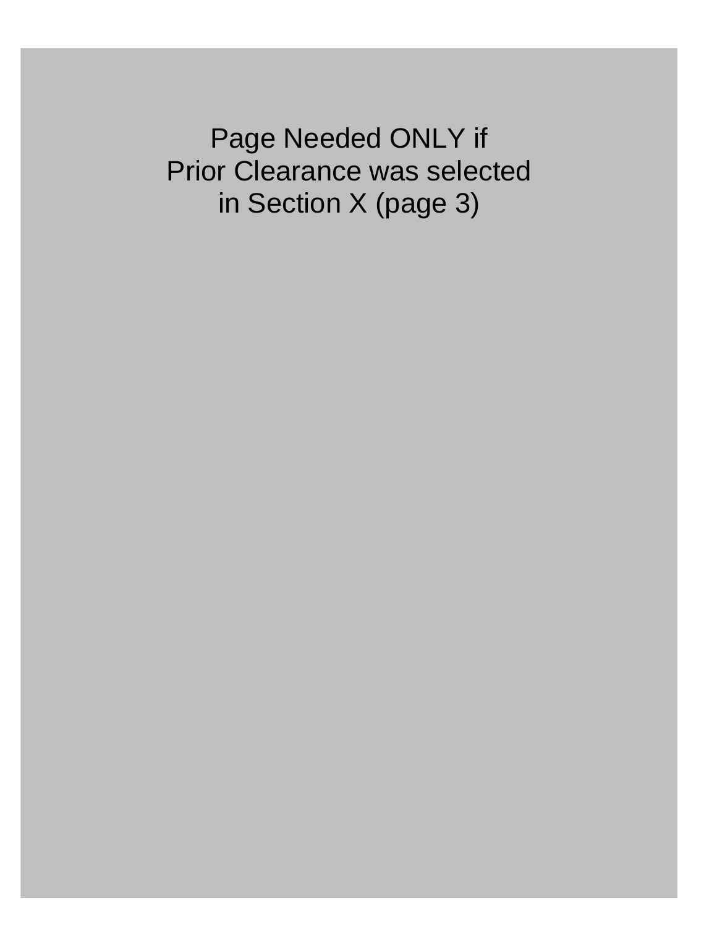Page inceded ONLY II<br>Prior Clearance was solected Information X (page 3) Page Needed ONLY if Prior Clearance was selected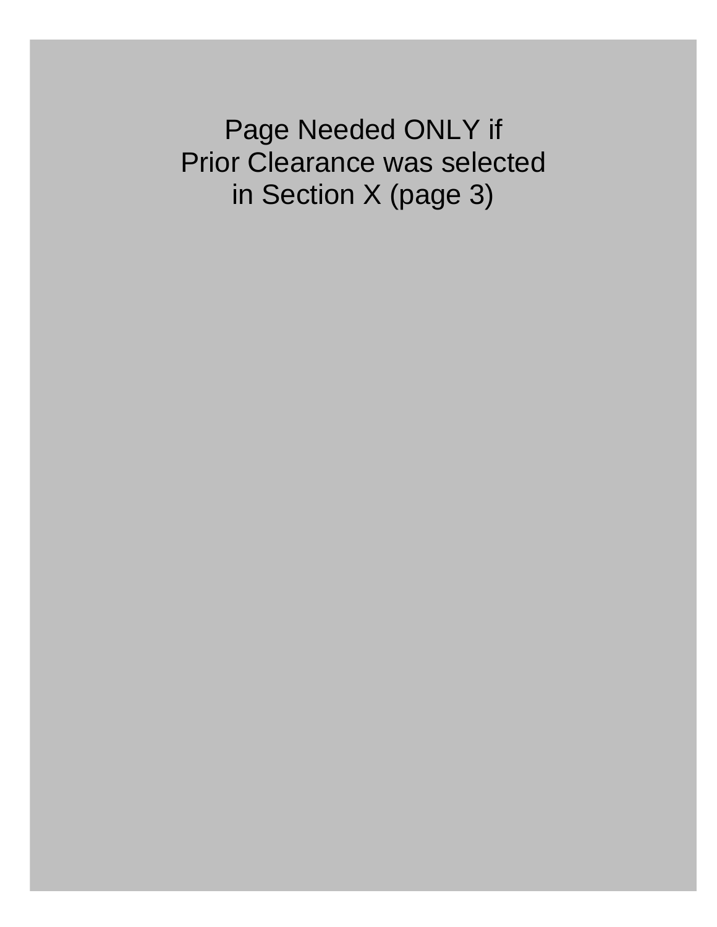$\Omega$ Follow instructions and date to sign and date to sign and date the certification statement on page 2. If you have any question statement on page 2. If you have any questions, contact the office that gave you have you have **Form 86 (STANDARD 86), Prior Clearance was selected by persons under considerations, is considered by persons u** <u>Exercise Exercise in Section X (nane 3)</u> in Section X (page 3)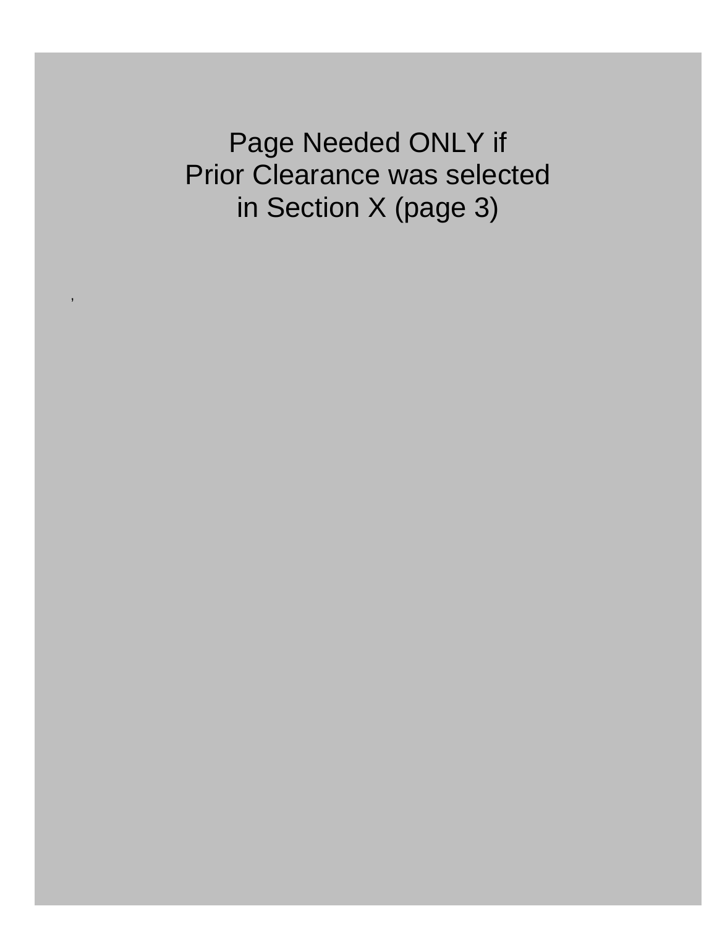INSTRUCTION PRINT YOUR ANSWERS IN INSTRUCTIONS: THE COMPLETE THE COMPLETE THE ACCEPTED OF THE COMPLETE THE COMPLETE THIS FORM IS NOT LEGION OF THE COMPLETE THIS FORM IS NOT LEGION OF THE COMPLETE THE COMPLETE THE COMPLETE information contained in  $\alpha$  and the date of  $\alpha$  second  $\alpha$  your last background investigation. All questions of  $\alpha$ on this form must be answered. Any changes that you make to this form after you sign it must be initialed and dated by you. Under certain limited circumstances, agencies may modify your response(s) consistent with your intent. The United States Criminal Code (title 18, section 1001) provides that knowingly falsifying or concealing a material fact is a felony which may result in fines and/or up to 5 years of **Do not provide information you have already provided on your most recent SF 86.** Any "Yes" responses under Block 2 must be explained in Block 3. If additional space is needed, use a blank sheet of paper. **Each blank sheet of paper you use must contain your** INSTRUCTION PRINT YOUR ANSWERS IN INSTRUCTIONS: THE TYPE OF THE TYPE OF THE TYPE OF THE TYPE OF THE TYPE OF TH information contained in the date of your last recent SF 86 or information disclosed upon the date of your last background investigation. All questions in the date of your last background investigations of your last backgr on this form must be any changes that you make to this form after you sign it must be initialed and dated by you  $\blacksquare$ **1001 provides that knowing a material fact is a felony prior Clearance was selected may result in Fines and**  $\alpha$ **Do not provide information you have already provided on your most recent SF 86.** Any "Yes" responses under Block 2 must be explained in Bection X (page 3) **Each blank sheet of papers.** Each blank sheet of paper your use must contain your use must contain your use must contain your use must contain your use must contain your use must contain yo

,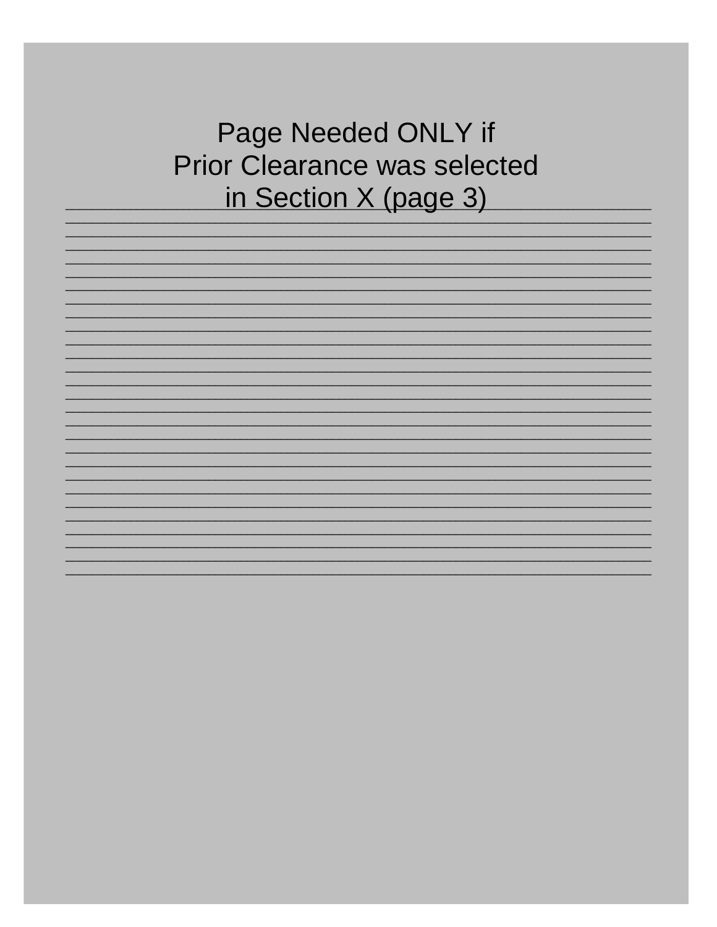**INSTRUCTIONS: BEFORE EACH ANSWER AND BEFORE ASSOCIATED INSTRUCTION NUMBER ASSOCIATED WITH A STRUCT AND INSTRUCT** a change of residence, write "Question 11" and list your new address. **Block 3 Prior Clearance was selected** Page Needed ONLY if in Section X (page 3)

 $\_$  ,  $\_$  ,  $\_$  ,  $\_$  ,  $\_$  ,  $\_$  ,  $\_$  ,  $\_$  ,  $\_$  ,  $\_$  ,  $\_$  ,  $\_$  ,  $\_$  ,  $\_$  ,  $\_$  ,  $\_$  ,  $\_$  ,  $\_$  ,  $\_$  ,  $\_$  ,  $\_$  ,  $\_$  ,  $\_$  ,  $\_$  ,  $\_$  ,  $\_$  ,  $\_$  ,  $\_$  ,  $\_$  ,  $\_$  ,  $\_$  ,  $\_$  ,  $\_$  ,  $\_$  ,  $\_$  ,  $\_$  ,  $\_$  ,  $\_$  , and the set of the set of the set of the set of the set of the set of the set of the set of the set of the set of the set of the set of the set of the set of the set of the set of the set of the set of the set of th  $\_$  , and the set of the set of the set of the set of the set of the set of the set of the set of the set of the set of the set of the set of the set of the set of the set of the set of the set of the set of the set of th  $\_$  , and the set of the set of the set of the set of the set of the set of the set of the set of the set of the set of the set of the set of the set of the set of the set of the set of the set of the set of the set of th  $\_$  , and the set of the set of the set of the set of the set of the set of the set of the set of the set of the set of the set of the set of the set of the set of the set of the set of the set of the set of the set of th  $\_$  ,  $\_$  ,  $\_$  ,  $\_$  ,  $\_$  ,  $\_$  ,  $\_$  ,  $\_$  ,  $\_$  ,  $\_$  ,  $\_$  ,  $\_$  ,  $\_$  ,  $\_$  ,  $\_$  ,  $\_$  ,  $\_$  ,  $\_$  ,  $\_$  ,  $\_$  ,  $\_$  ,  $\_$  ,  $\_$  ,  $\_$  ,  $\_$  ,  $\_$  ,  $\_$  ,  $\_$  ,  $\_$  ,  $\_$  ,  $\_$  ,  $\_$  ,  $\_$  ,  $\_$  ,  $\_$  ,  $\_$  ,  $\_$  ,  $\_$  ,  $\_$  ,  $\_$  ,  $\_$  ,  $\_$  ,  $\_$  ,  $\_$  ,  $\_$  ,  $\_$  ,  $\_$  ,  $\_$  ,  $\_$  ,  $\_$  ,  $\_$  ,  $\_$  ,  $\_$  ,  $\_$  ,  $\_$  ,  $\_$  ,  $\_$  ,  $\_$  ,  $\_$  ,  $\_$  ,  $\_$  ,  $\_$  ,  $\_$  ,  $\_$  ,  $\_$  ,  $\_$  ,  $\_$  ,  $\_$  ,  $\_$  ,  $\_$  ,  $\_$  ,  $\_$  ,  $\_$  ,  $\_$  ,  $\_$  , and the set of the set of the set of the set of the set of the set of the set of the set of the set of the set of the set of the set of the set of the set of the set of the set of the set of the set of the set of th  $\_$  , and the set of the set of the set of the set of the set of the set of the set of the set of the set of the set of the set of the set of the set of the set of the set of the set of the set of the set of the set of th  $\_$  , and the set of the set of the set of the set of the set of the set of the set of the set of the set of the set of the set of the set of the set of the set of the set of the set of the set of the set of the set of th  $\_$  , and the set of the set of the set of the set of the set of the set of the set of the set of the set of the set of the set of the set of the set of the set of the set of the set of the set of the set of the set of th  $\_$  ,  $\_$  ,  $\_$  ,  $\_$  ,  $\_$  ,  $\_$  ,  $\_$  ,  $\_$  ,  $\_$  ,  $\_$  ,  $\_$  ,  $\_$  ,  $\_$  ,  $\_$  ,  $\_$  ,  $\_$  ,  $\_$  ,  $\_$  ,  $\_$  ,  $\_$  ,  $\_$  ,  $\_$  ,  $\_$  ,  $\_$  ,  $\_$  ,  $\_$  ,  $\_$  ,  $\_$  ,  $\_$  ,  $\_$  ,  $\_$  ,  $\_$  ,  $\_$  ,  $\_$  ,  $\_$  ,  $\_$  ,  $\_$  ,  $\_$  ,  $\_$  ,  $\_$  ,  $\_$  ,  $\_$  ,  $\_$  ,  $\_$  ,  $\_$  ,  $\_$  ,  $\_$  ,  $\_$  ,  $\_$  ,  $\_$  ,  $\_$  ,  $\_$  ,  $\_$  ,  $\_$  ,  $\_$  ,  $\_$  ,  $\_$  ,  $\_$  ,  $\_$  ,  $\_$  ,  $\_$  ,  $\_$  ,  $\_$  ,  $\_$  ,  $\_$  ,  $\_$  ,  $\_$  ,  $\_$  ,  $\_$  ,  $\_$  ,  $\_$  ,  $\_$  ,  $\_$  ,  $\_$  ,  $\_$  , and the set of the set of the set of the set of the set of the set of the set of the set of the set of the set of the set of the set of the set of the set of the set of the set of the set of the set of the set of th  $\_$  , and the set of the set of the set of the set of the set of the set of the set of the set of the set of the set of the set of the set of the set of the set of the set of the set of the set of the set of the set of th  $\_$  , and the set of the set of the set of the set of the set of the set of the set of the set of the set of the set of the set of the set of the set of the set of the set of the set of the set of the set of the set of th  $\_$  , and the set of the set of the set of the set of the set of the set of the set of the set of the set of the set of the set of the set of the set of the set of the set of the set of the set of the set of the set of th  $\_$  ,  $\_$  ,  $\_$  ,  $\_$  ,  $\_$  ,  $\_$  ,  $\_$  ,  $\_$  ,  $\_$  ,  $\_$  ,  $\_$  ,  $\_$  ,  $\_$  ,  $\_$  ,  $\_$  ,  $\_$  ,  $\_$  ,  $\_$  ,  $\_$  ,  $\_$  ,  $\_$  ,  $\_$  ,  $\_$  ,  $\_$  ,  $\_$  ,  $\_$  ,  $\_$  ,  $\_$  ,  $\_$  ,  $\_$  ,  $\_$  ,  $\_$  ,  $\_$  ,  $\_$  ,  $\_$  ,  $\_$  ,  $\_$  ,  $\_$  ,  $\_$  ,  $\_$  ,  $\_$  ,  $\_$  ,  $\_$  ,  $\_$  ,  $\_$  ,  $\_$  ,  $\_$  ,  $\_$  ,  $\_$  ,  $\_$  ,  $\_$  ,  $\_$  ,  $\_$  ,  $\_$  ,  $\_$  ,  $\_$  ,  $\_$  ,  $\_$  ,  $\_$  ,  $\_$  ,  $\_$  ,  $\_$  ,  $\_$  ,  $\_$  ,  $\_$  ,  $\_$  ,  $\_$  ,  $\_$  ,  $\_$  ,  $\_$  ,  $\_$  ,  $\_$  ,  $\_$  ,  $\_$  ,  $\_$  , and the set of the set of the set of the set of the set of the set of the set of the set of the set of the set of the set of the set of the set of the set of the set of the set of the set of the set of the set of th  $\_$  , and the set of the set of the set of the set of the set of the set of the set of the set of the set of the set of the set of the set of the set of the set of the set of the set of the set of the set of the set of th  $\_$  , and the set of the set of the set of the set of the set of the set of the set of the set of the set of the set of the set of the set of the set of the set of the set of the set of the set of the set of the set of th  $\_$  ,  $\_$  ,  $\_$  ,  $\_$  ,  $\_$  ,  $\_$  ,  $\_$  ,  $\_$  ,  $\_$  ,  $\_$  ,  $\_$  ,  $\_$  ,  $\_$  ,  $\_$  ,  $\_$  ,  $\_$  ,  $\_$  ,  $\_$  ,  $\_$  ,  $\_$  ,  $\_$  ,  $\_$  ,  $\_$  ,  $\_$  ,  $\_$  ,  $\_$  ,  $\_$  ,  $\_$  ,  $\_$  ,  $\_$  ,  $\_$  ,  $\_$  ,  $\_$  ,  $\_$  ,  $\_$  ,  $\_$  ,  $\_$  ,  $\_$  ,  $\_$  ,  $\_$  ,  $\_$  ,  $\_$  ,  $\_$  ,  $\_$  ,  $\_$  ,  $\_$  ,  $\_$  ,  $\_$  ,  $\_$  ,  $\_$  ,  $\_$  ,  $\_$  ,  $\_$  ,  $\_$  ,  $\_$  ,  $\_$  ,  $\_$  ,  $\_$  ,  $\_$  ,  $\_$  ,  $\_$  ,  $\_$  ,  $\_$  ,  $\_$  ,  $\_$  ,  $\_$  ,  $\_$  ,  $\_$  ,  $\_$  ,  $\_$  ,  $\_$  ,  $\_$  ,  $\_$  ,  $\_$  ,  $\_$  , and the set of the set of the set of the set of the set of the set of the set of the set of the set of the set of the set of the set of the set of the set of the set of the set of the set of the set of the set of th  $\_$  , and the set of the set of the set of the set of the set of the set of the set of the set of the set of the set of the set of the set of the set of the set of the set of the set of the set of the set of the set of th  $\_$  , and the set of the set of the set of the set of the set of the set of the set of the set of the set of the set of the set of the set of the set of the set of the set of the set of the set of the set of the set of th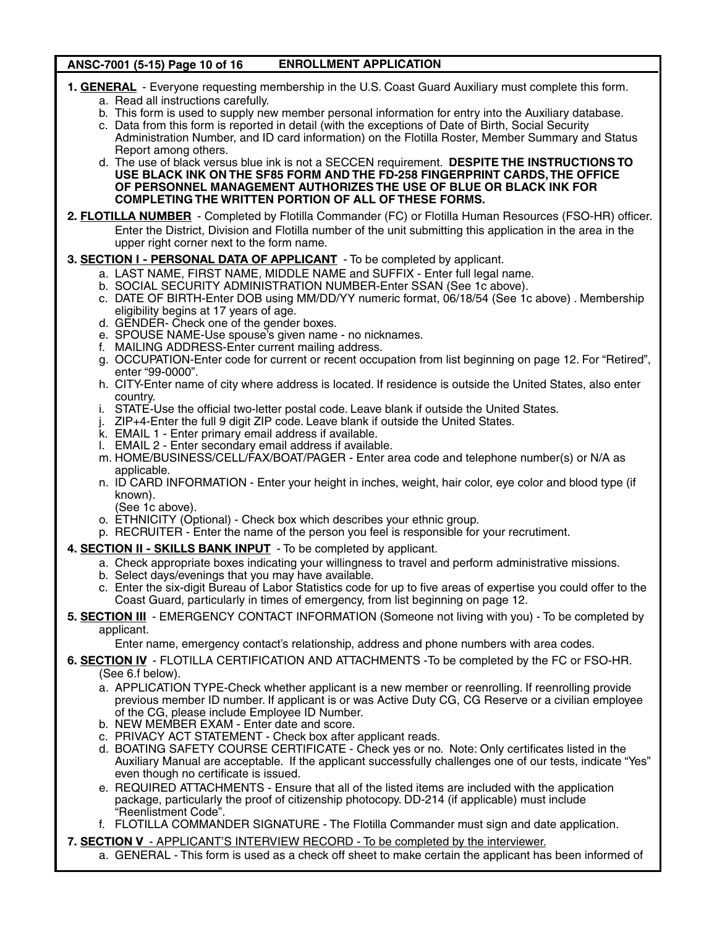# ANSC-7001 (5-15) Page 10 of 16 ENROLLMENT APPLICATION

- **1. GENERAL** Everyone requesting membership in the U.S. Coast Guard Auxiliary must complete this form.
	- a. Read all instructions carefully.
	- b. This form is used to supply new member personal information for entry into the Auxiliary database.
	- c. Data from this form is reported in detail (with the exceptions of Date of Birth, Social Security Administration Number, and ID card information) on the Flotilla Roster, Member Summary and Status Report among others.
	- d. The use of black versus blue ink is not a SECCEN requirement. **DESPITE THE INSTRUCTIONS TO USE BLACK INK ON THE SF85 FORM AND THE FD-258 FINGERPRINT CARDS, THE OFFICE OF PERSONNEL MANAGEMENT AUTHORIZES THE USE OF BLUE OR BLACK INK FOR COMPLETING THE WRITTEN PORTION OF ALL OF THESE FORMS.**
- **2. FLOTILLA NUMBER** Completed by Flotilla Commander (FC) or Flotilla Human Resources (FSO-HR) officer. Enter the District, Division and Flotilla number of the unit submitting this application in the area in the upper right corner next to the form name.
- **3. SECTION I PERSONAL DATA OF APPLICANT** To be completed by applicant.
	- a. LAST NAME, FIRST NAME, MIDDLE NAME and SUFFIX Enter full legal name.
	- b. SOCIAL SECURITY ADMINISTRATION NUMBER-Enter SSAN (See 1c above).
	- c. DATE OF BIRTH-Enter DOB using MM/DD/YY numeric format, 06/18/54 (See 1c above) . Membership eligibility begins at 17 years of age.
	- d. GENDER- Check one of the gender boxes.
	- e. SPOUSE NAME-Use spouse's given name no nicknames.
	- f. MAILING ADDRESS-Enter current mailing address.
	- g. OCCUPATION-Enter code for current or recent occupation from list beginning on page 12. For "Retired", enter "99-0000".
	- h. CITY-Enter name of city where address is located. If residence is outside the United States, also enter country.
	- i. STATE-Use the official two-letter postal code. Leave blank if outside the United States.
	- j. ZIP+4-Enter the full 9 digit ZIP code. Leave blank if outside the United States.
	- k. EMAIL 1 Enter primary email address if available.
	- l. EMAIL 2 Enter secondary email address if available.
	- m. HOME/BUSINESS/CELL/FAX/BOAT/PAGER Enter area code and telephone number(s) or N/A as applicable.
	- n. ID CARD INFORMATION Enter your height in inches, weight, hair color, eye color and blood type (if known).
	- (See 1c above).
	- o. ETHNICITY (Optional) Check box which describes your ethnic group.
	- p. RECRUITER Enter the name of the person you feel is responsible for your recrutiment.
- **4. SECTION II SKILLS BANK INPUT** To be completed by applicant.
	- a. Check appropriate boxes indicating your willingness to travel and perform administrative missions.
	- b. Select days/evenings that you may have available.
	- c. Enter the six-digit Bureau of Labor Statistics code for up to five areas of expertise you could offer to the Coast Guard, particularly in times of emergency, from list beginning on page 12.
- **5. SECTION III** EMERGENCY CONTACT INFORMATION (Someone not living with you) To be completed by applicant.

Enter name, emergency contact's relationship, address and phone numbers with area codes.

- **6. SECTION IV** FLOTILLA CERTIFICATION AND ATTACHMENTS -To be completed by the FC or FSO-HR. (See 6.f below).
	- a. APPLICATION TYPE-Check whether applicant is a new member or reenrolling. If reenrolling provide previous member ID number. If applicant is or was Active Duty CG, CG Reserve or a civilian employee of the CG, please include Employee ID Number.
	- b. NEW MEMBER EXAM Enter date and score.
	- c. PRIVACY ACT STATEMENT Check box after applicant reads.
	- d. BOATING SAFETY COURSE CERTIFICATE Check yes or no. Note: Only certificates listed in the Auxiliary Manual are acceptable. If the applicant successfully challenges one of our tests, indicate "Yes" even though no certificate is issued.
	- e. REQUIRED ATTACHMENTS Ensure that all of the listed items are included with the application package, particularly the proof of citizenship photocopy. DD-214 (if applicable) must include "Reenlistment Code".
	- f. FLOTILLA COMMANDER SIGNATURE The Flotilla Commander must sign and date application.
- **7. SECTION V** APPLICANT'S INTERVIEW RECORD To be completed by the interviewer.
	- a. GENERAL This form is used as a check off sheet to make certain the applicant has been informed of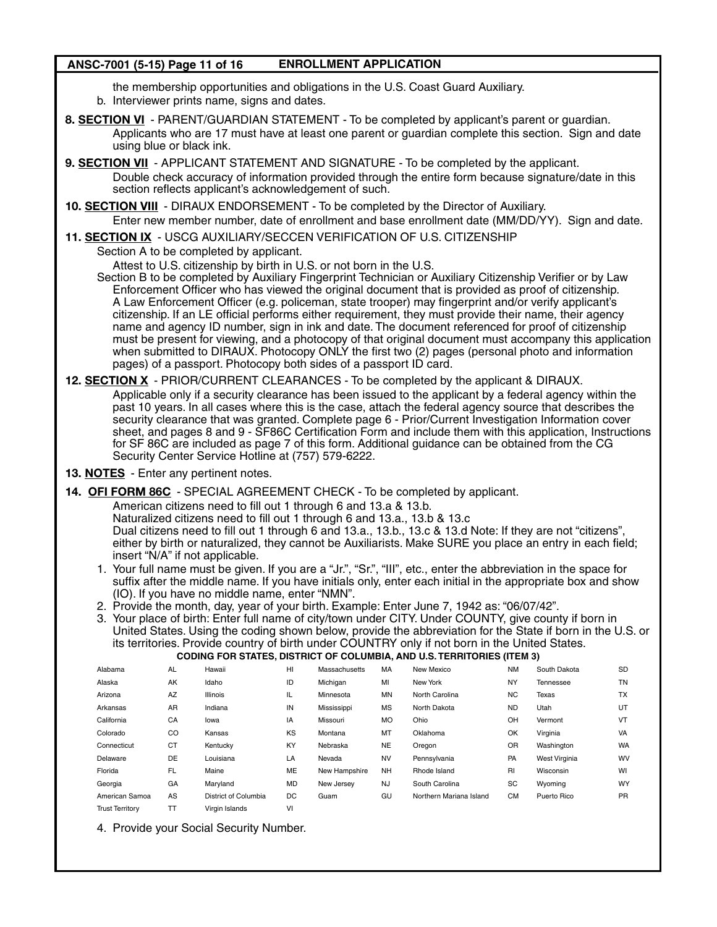# ANSC-7001 (5-15) Page 11 of 16 ENROLLMENT APPLICATION

the membership opportunities and obligations in the U.S. Coast Guard Auxiliary.

- b. Interviewer prints name, signs and dates.
- **8. SECTION VI** PARENT/GUARDIAN STATEMENT To be completed by applicant's parent or guardian. Applicants who are 17 must have at least one parent or guardian complete this section. Sign and date using blue or black ink.
- **9. SECTION VII** APPLICANT STATEMENT AND SIGNATURE To be completed by the applicant. Double check accuracy of information provided through the entire form because signature/date in this section reflects applicant's acknowledgement of such.
- **10. SECTION VIII** DIRAUX ENDORSEMENT To be completed by the Director of Auxiliary. Enter new member number, date of enrollment and base enrollment date (MM/DD/YY). Sign and date.
- **11. SECTION IX** USCG AUXILIARY/SECCEN VERIFICATION OF U.S. CITIZENSHIP

Section A to be completed by applicant.

Attest to U.S. citizenship by birth in U.S. or not born in the U.S.

Section B to be completed by Auxiliary Fingerprint Technician or Auxiliary Citizenship Verifier or by Law Enforcement Officer who has viewed the original document that is provided as proof of citizenship. A Law Enforcement Officer (e.g. policeman, state trooper) may fingerprint and/or verify applicant's citizenship. If an LE official performs either requirement, they must provide their name, their agency name and agency ID number, sign in ink and date. The document referenced for proof of citizenship must be present for viewing, and a photocopy of that original document must accompany this application when submitted to DIRAUX. Photocopy ONLY the first two (2) pages (personal photo and information pages) of a passport. Photocopy both sides of a passport ID card.

- **12. SECTION X** PRIOR/CURRENT CLEARANCES To be completed by the applicant & DIRAUX. Applicable only if a security clearance has been issued to the applicant by a federal agency within the past 10 years. In all cases where this is the case, attach the federal agency source that describes the security clearance that was granted. Complete page 6 - Prior/Current Investigation Information cover sheet, and pages 8 and 9 - SF86C Certification Form and include them with this application, Instructions for SF 86C are included as page 7 of this form. Additional guidance can be obtained from the CG Security Center Service Hotline at (757) 579-6222.
- **13. NOTES** Enter any pertinent notes.
- **14. OFI FORM 86C** SPECIAL AGREEMENT CHECK To be completed by applicant.

American citizens need to fill out 1 through 6 and 13.a & 13.b.

Naturalized citizens need to fill out 1 through 6 and 13.a., 13.b & 13.c

Dual citizens need to fill out 1 through 6 and 13.a., 13.b., 13.c & 13.d Note: If they are not "citizens" either by birth or naturalized, they cannot be Auxiliarists. Make SURE you place an entry in each field; insert "N/A" if not applicable.

- 1. Your full name must be given. If you are a "Jr.", "Sr.", "III", etc., enter the abbreviation in the space for suffix after the middle name. If you have initials only, enter each initial in the appropriate box and show (IO). If you have no middle name, enter "NMN".
- 2. Provide the month, day, year of your birth. Example: Enter June 7, 1942 as: "06/07/42".

3. Your place of birth: Enter full name of city/town under CITY. Under COUNTY, give county if born in United States. Using the coding shown below, provide the abbreviation for the State if born in the U.S. or its territories. Provide country of birth under COUNTRY only if not born in the United States.

|                        |           |                      |           |                      |           | <b>CODING FOR STATES, DISTRICT OF COLUMBIA, AND U.S. TERRITORIES (ITEM 3)</b> |           |               |           |
|------------------------|-----------|----------------------|-----------|----------------------|-----------|-------------------------------------------------------------------------------|-----------|---------------|-----------|
| Alabama                | <b>AL</b> | Hawaii               | HI        | <b>Massachusetts</b> | MA        | New Mexico                                                                    | <b>NM</b> | South Dakota  | <b>SD</b> |
| Alaska                 | AK        | Idaho                | ID        | Michigan             | MI        | New York                                                                      | <b>NY</b> | Tennessee     | TN        |
| Arizona                | AZ        | <b>Illinois</b>      | IL        | Minnesota            | <b>MN</b> | North Carolina                                                                | <b>NC</b> | Texas         | <b>TX</b> |
| Arkansas               | AR        | Indiana              | IN        | Mississippi          | MS        | North Dakota                                                                  | <b>ND</b> | Utah          | UT        |
| California             | CA        | lowa                 | IA        | Missouri             | <b>MO</b> | Ohio                                                                          | OH        | Vermont       | VT        |
| Colorado               | CO        | Kansas               | KS        | Montana              | MT        | Oklahoma                                                                      | OK        | Virginia      | VA        |
| Connecticut            | <b>CT</b> | Kentucky             | KY        | Nebraska             | <b>NE</b> | Oregon                                                                        | OR        | Washington    | <b>WA</b> |
| Delaware               | DE        | Louisiana            | LA        | Nevada               | <b>NV</b> | Pennsylvania                                                                  | PA        | West Virginia | <b>WV</b> |
| Florida                | FL        | Maine                | <b>ME</b> | New Hampshire        | <b>NH</b> | Rhode Island                                                                  | RI        | Wisconsin     | WI        |
| Georgia                | GA        | Maryland             | <b>MD</b> | New Jersev           | <b>NJ</b> | South Carolina                                                                | SC        | Wyoming       | <b>WY</b> |
| American Samoa         | AS        | District of Columbia | DC        | Guam                 | GU        | Northern Mariana Island                                                       | <b>CM</b> | Puerto Rico   | <b>PR</b> |
| <b>Trust Territory</b> | тт        | Virgin Islands       | v١        |                      |           |                                                                               |           |               |           |

4. Provide your Social Security Number.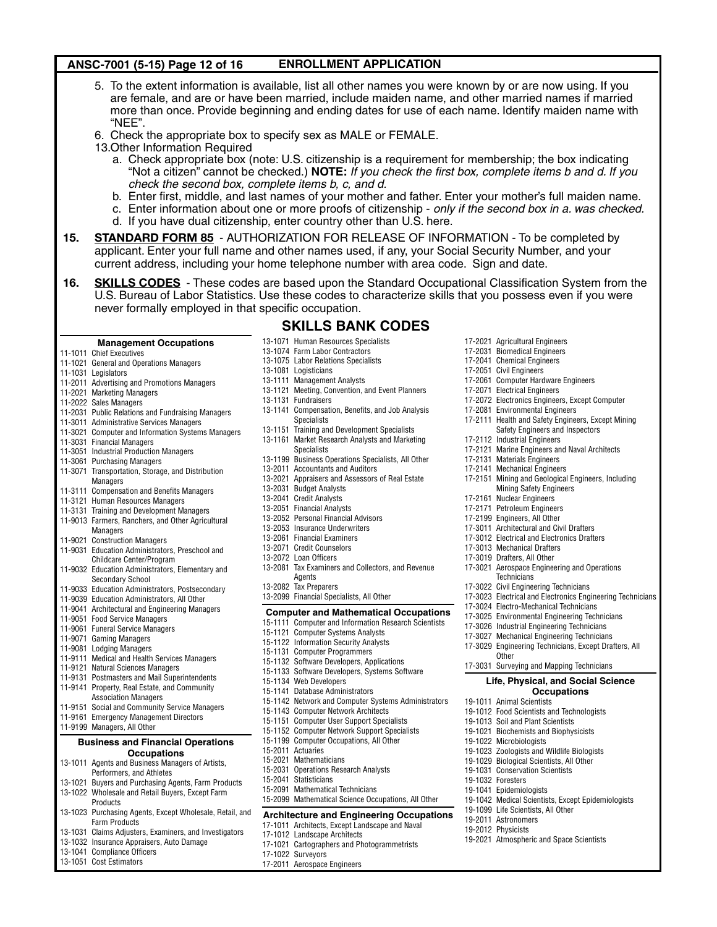# ANSC-7001 (5-15) Page 12 of 16 ENROLLMENT APPLICATION

- 5. To the extent information is available, list all other names you were known by or are now using. If you are female, and are or have been married, include maiden name, and other married names if married more than once. Provide beginning and ending dates for use of each name. Identify maiden name with "NEE".
- 6. Check the appropriate box to specify sex as MALE or FEMALE.
- 13.Other Information Required
	- a. Check appropriate box (note: U.S. citizenship is a requirement for membership; the box indicating "Not a citizen" cannot be checked.) **NOTE:** *If you check the first box, complete items b and d. If you check the second box, complete items b, c, and d.*
	- b. Enter first, middle, and last names of your mother and father. Enter your mother's full maiden name.
	- c. Enter information about one or more proofs of citizenship *only if the second box in a. was checked.*
	- d. If you have dual citizenship, enter country other than U.S. here.
- **15. STANDARD FORM 85** AUTHORIZATION FOR RELEASE OF INFORMATION To be completed by applicant. Enter your full name and other names used, if any, your Social Security Number, and your current address, including your home telephone number with area code. Sign and date.
- **16. SKILLS CODES** These codes are based upon the Standard Occupational Classification System from the U.S. Bureau of Labor Statistics. Use these codes to characterize skills that you possess even if you were never formally employed in that specific occupation.

# **SKILLS BANK CODES**

13-1121 Meeting, Convention, and Event Planners

13-1075 Labor Relations Specialists

13-1081 Logisticians 13-1111 Management Analysts

13-1131 Fundraisers

- **Management Occupations** 13-1071 Human Resources Specialists 13-1074 Farm Labor Contractors
- 11-1011 Chief Executives
- 11-1021 General and Operations Managers
- 11-1031 Legislators
- 11-2011 Advertising and Promotions Managers
- 11-2021 Marketing Managers
- 11-2022 Sales Managers
- 11-2031 Public Relations and Fundraising Managers
- 11-3011 Administrative Services Managers
- 11-3021 Computer and Information Systems Managers
- 11-3031 Financial Managers
- 11-3051 Industrial Production Managers
- 11-3061 Purchasing Managers
- 11-3071 Transportation, Storage, and Distribution Managers
- 11-3111 Compensation and Benefits Managers
- 11-3121 Human Resources Managers
- 11-3131 Training and Development Managers 11-9013 Farmers, Ranchers, and Other Agricultural
- Managers 11-9021 Construction Managers
- 11-9031 Education Administrators, Preschool and
- Childcare Center/Program 11-9032 Education Administrators, Elementary and
- Secondary School
- 11-9033 Education Administrators, Postsecondary
- 11-9039 Education Administrators, All Other
- 11-9041 Architectural and Engineering Managers
- 11-9051 Food Service Managers
- 11-9061 Funeral Service Managers
- 11-9071 Gaming Managers
- 11-9081 Lodging Managers
- 11-9111 Medical and Health Services Managers
- 11-9121 Natural Sciences Managers
- 11-9131 Postmasters and Mail Superintendents
- 11-9141 Property, Real Estate, and Community Association Managers
- 11-9151 Social and Community Service Managers
- 11-9161 Emergency Management Directors
- 11-9199 Managers, All Other

### **Business and Financial Operations Occupations**

- 13-1011 Agents and Business Managers of Artists, Performers, and Athletes
- 13-1021 Buyers and Purchasing Agents, Farm Products 13-1022 Wholesale and Retail Buyers, Except Farm
- Products
- 13-1023 Purchasing Agents, Except Wholesale, Retail, and Farm Products
- 13-1031 Claims Adjusters, Examiners, and Investigators
- 13-1032 Insurance Appraisers, Auto Damage
- 13-1041 Compliance Officers
- 13-1051 Cost Estimators
- 13-1141 Compensation, Benefits, and Job Analysis Specialists 13-1151 Training and Development Specialists 13-1161 Market Research Analysts and Marketing **Specialists** 13-1199 Business Operations Specialists, All Other 13-2011 Accountants and Auditors 13-2021 Appraisers and Assessors of Real Estate 13-2031 Budget Analysts 13-2041 Credit Analysts 13-2051 Financial Analysts 13-2052 Personal Financial Advisors 13-2053 Insurance Underwriters 13-2061 Financial Examiners 13-2071 Credit Counselors 13-2072 Loan Officers 13-2081 Tax Examiners and Collectors, and Revenue Agents 13-2082 Tax Preparers
- 13-2099 Financial Specialists, All Other

# **Computer and Mathematical Occupations**

- 15-1111 Computer and Information Research Scientists
- 15-1121 Computer Systems Analysts
- 15-1122 Information Security Analysts
- 15-1131 Computer Programmers
- 15-1132 Software Developers, Applications
- 15-1133 Software Developers, Systems Software
- 15-1134 Web Developers
- 15-1141 Database Administrators
- 15-1142 Network and Computer Systems Administrators
- 15-1143 Computer Network Architects
- 15-1151 Computer User Support Specialists
- 15-1152 Computer Network Support Specialists
- 15-1199 Computer Occupations, All Other 15-2011 Actuaries
- 15-2021 Mathematicians
- 15-2031 Operations Research Analysts
- 15-2041 Statisticians
- 15-2091 Mathematical Technicians
- 15-2099 Mathematical Science Occupations, All Other

### **Architecture and Engineering Occupations**

- 17-1011 Architects, Except Landscape and Naval
- 17-1012 Landscape Architects
- 17-1021 Cartographers and Photogrammetrists
- 17-1022 Surveyors
- 17-2011 Aerospace Engineers
- 17-2021 Agricultural Engineers
- 17-2031 Biomedical Engineers
- 17-2041 Chemical Engineers
- 17-2051 Civil Engineers
- 17-2061 Computer Hardware Engineers
- 17-2071 Electrical Engineers
- 17-2072 Electronics Engineers, Except Computer
- 17-2081 Environmental Engineers
- 17-2111 Health and Safety Engineers, Except Mining
	- Safety Engineers and Inspectors
- 17-2112 Industrial Engineers
- 17-2121 Marine Engineers and Naval Architects
- 17-2131 Materials Engineers
- 17-2141 Mechanical Engineers
- 17-2151 Mining and Geological Engineers, Including Mining Safety Engineers
- 17-2161 Nuclear Engineers
- 17-2171 Petroleum Engineers
- 17-2199 Engineers, All Other

17-3013 Mechanical Drafters 17-3019 Drafters, All Other

**Technicians** 17-3022 Civil Engineering Technicians

**Other** 

19-1011 Animal Scientists

19-1022 Microbiologists

19-1032 Foresters 19-1041 Epidemiologists

17-3011 Architectural and Civil Drafters 17-3012 Electrical and Electronics Drafters

17-3024 Electro-Mechanical Technicians 17-3025 Environmental Engineering Technicians 17-3026 Industrial Engineering Technicians 17-3027 Mechanical Engineering Technicians 17-3029 Engineering Technicians, Except Drafters, All

17-3031 Surveying and Mapping Technicians

19-1012 Food Scientists and Technologists 19-1013 Soil and Plant Scientists 19-1021 Biochemists and Biophysicists

19-1023 Zoologists and Wildlife Biologists 19-1029 Biological Scientists, All Other 19-1031 Conservation Scientists

19-2021 Atmospheric and Space Scientists

19-1099 Life Scientists, All Other 19-2011 Astronomers 19-2012 Physicists

19-1042 Medical Scientists, Except Epidemiologists

17-3021 Aerospace Engineering and Operations

17-3023 Electrical and Electronics Engineering Technicians

**Life, Physical, and Social Science Occupations**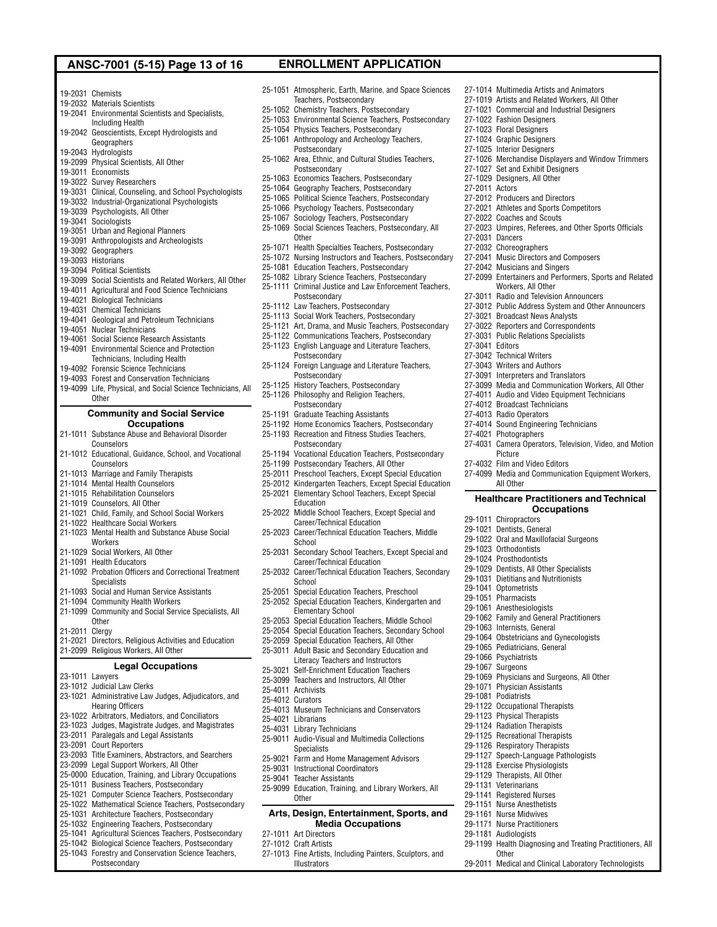# ANSC-7001 (5-15) Page 13 of 16 ENROLLMENT APPLICATION

19-2031 Chemists

- 19-2032 Materials Scientists
- 19-2041 Environmental Scientists and Specialists,
- Including Health
- 19-2042 Geoscientists, Except Hydrologists and Geographers
- 19-2043 Hydrologists
- 19-2099 Physical Scientists, All Other
- 19-3011 Economists
- 19-3022 Survey Researchers
- 19-3031 Clinical, Counseling, and School Psychologists
- 19-3032 Industrial-Organizational Psychologists
- 19-3039 Psychologists, All Other
- 19-3041 Sociologists
- 19-3051 Urban and Regional Planners
- 19-3091 Anthropologists and Archeologists
- 19-3092 Geographers
- 19-3093 Historians
- 19-3094 Political Scientists
- 19-3099 Social Scientists and Related Workers, All Other
- 19-4011 Agricultural and Food Science Technicians
- 19-4021 Biological Technicians
- 19-4031 Chemical Technicians
- 19-4041 Geological and Petroleum Technicians
- 19-4051 Nuclear Technicians
- 19-4061 Social Science Research Assistants
- 19-4091 Environmental Science and Protection
- Technicians, Including Health
- 19-4092 Forensic Science Technicians
- 19-4093 Forest and Conservation Technicians
- 19-4099 Life, Physical, and Social Science Technicians, All
- **Other**

### **Community and Social Service Occupations**

- 21-1011 Substance Abuse and Behavioral Disorder Counselors
- 21-1012 Educational, Guidance, School, and Vocational **Counselors**
- 
- 21-1013 Marriage and Family Therapists 21-1014 Mental Health Counselors
- 
- 21-1015 Rehabilitation Counselors
- 21-1019 Counselors, All Other
- 21-1021 Child, Family, and School Social Workers
- 21-1022 Healthcare Social Workers
- 21-1023 Mental Health and Substance Abuse Social **Workers**
- 21-1029 Social Workers, All Other
- 21-1091 Health Educators
- 21-1092 Probation Officers and Correctional Treatment Specialists
- 21-1093 Social and Human Service Assistants
- 21-1094 Community Health Workers
- 21-1099 Community and Social Service Specialists, All
- **Other**
- 21-2011 Clergy
- 21-2021 Directors, Religious Activities and Education
- 21-2099 Religious Workers, All Other

### **Legal Occupations**

- 23-1011 Lawyers
- 23-1012 Judicial Law Clerks 23-1021 Administrative Law Judges, Adjudicators, and
- Hearing Officers
- 23-1022 Arbitrators, Mediators, and Conciliators
- 23-1023 Judges, Magistrate Judges, and Magistrates
- 23-2011 Paralegals and Legal Assistants
- 23-2091 Court Reporters
- 23-2093 Title Examiners, Abstractors, and Searchers
- 23-2099 Legal Support Workers, All Other
- 25-0000 Education, Training, and Library Occupations
- 25-1011 Business Teachers, Postsecondary
- 25-1021 Computer Science Teachers, Postsecondary
- 25-1022 Mathematical Science Teachers, Postsecondary
- 25-1031 Architecture Teachers, Postsecondary
- 25-1032 Engineering Teachers, Postsecondary
- 25-1041 Agricultural Sciences Teachers, Postsecondary
- 25-1042 Biological Science Teachers, Postsecondary
- 25-1043 Forestry and Conservation Science Teachers, Postsecondary

25-1051 Atmospheric, Earth, Marine, and Space Sciences Teachers, Postsecondary 25-1052 Chemistry Teachers, Postsecondary 25-1053 Environmental Science Teachers, Postsecondary 25-1054 Physics Teachers, Postsecondary 25-1061 Anthropology and Archeology Teachers, **Postsecondary** 25-1062 Area, Ethnic, and Cultural Studies Teachers,

27-1014 Multimedia Artists and Animators 27-1019 Artists and Related Workers, All Other 27-1021 Commercial and Industrial Designers

27-1026 Merchandise Displayers and Window Trimmers

27-2023 Umpires, Referees, and Other Sports Officials

27-2099 Entertainers and Performers, Sports and Related

27-3012 Public Address System and Other Announcers

27-3099 Media and Communication Workers, All Other 27-4011 Audio and Video Equipment Technicians

27-4031 Camera Operators, Television, Video, and Motion

27-4099 Media and Communication Equipment Workers,

**Healthcare Practitioners and Technical Occupations**

27-1022 Fashion Designers 27-1023 Floral Designers 27-1024 Graphic Designers 27-1025 Interior Designers

27-1027 Set and Exhibit Designers 27-1029 Designers, All Other 27-2011 Actors

27-2012 Producers and Directors 27-2021 Athletes and Sports Competitors 27-2022 Coaches and Scouts

27-2041 Music Directors and Composers 27-2042 Musicians and Singers

Workers, All Other 27-3011 Radio and Television Announcers

27-3021 Broadcast News Analysts 27-3022 Reporters and Correspondents 27-3031 Public Relations Specialists

27-4012 Broadcast Technicians 27-4013 Radio Operators

27-4021 Photographers

Picture 27-4032 Film and Video Editors

All Other

29-1011 Chiropractors 29-1021 Dentists, General

29-1023 Orthodontists 29-1024 Prosthodontists

29-1041 Optometrists 29-1051 Pharmacists 29-1061 Anesthesiologists

29-1063 Internists, General

29-1071 Physician Assistants 29-1081 Podiatrists

**Other** 

29-1122 Occupational Therapists 29-1123 Physical Therapists 29-1124 Radiation Therapists 29-1125 Recreational Therapists 29-1126 Respiratory Therapists 29-1127 Speech-Language Pathologists 29-1128 Exercise Physiologists 29-1129 Therapists, All Other 29-1131 Veterinarians 29-1141 Registered Nurses 29-1151 Nurse Anesthetists 29-1161 Nurse Midwives 29-1171 Nurse Practitioners 29-1181 Audiologists

27-4014 Sound Engineering Technicians

29-1022 Oral and Maxillofacial Surgeons

29-1029 Dentists, All Other Specialists 29-1031 Dietitians and Nutritionists

29-1062 Family and General Practitioners

29-1064 Obstetricians and Gynecologists 29-1065 Pediatricians, General 29-1066 Psychiatrists 29-1067 Surgeons

29-1069 Physicians and Surgeons, All Other

29-1199 Health Diagnosing and Treating Practitioners, All

29-2011 Medical and Clinical Laboratory Technologists

27-2031 Dancers 27-2032 Choreographers

27-3041 Editors 27-3042 Technical Writers 27-3043 Writers and Authors 27-3091 Interpreters and Translators

- Postsecondary
- 25-1063 Economics Teachers, Postsecondary
- 25-1064 Geography Teachers, Postsecondary
- 25-1065 Political Science Teachers, Postsecondary
- 25-1066 Psychology Teachers, Postsecondary
- 25-1067 Sociology Teachers, Postsecondary
- 25-1069 Social Sciences Teachers, Postsecondary, All
- **Other**
- 25-1071 Health Specialties Teachers, Postsecondary
- 25-1072 Nursing Instructors and Teachers, Postsecondary
- 25-1081 Education Teachers, Postsecondary
- 25-1082 Library Science Teachers, Postsecondary
- 25-1111 Criminal Justice and Law Enforcement Teachers, Postsecondary
- 25-1112 Law Teachers, Postsecondary
- 25-1113 Social Work Teachers, Postsecondary
- 25-1121 Art, Drama, and Music Teachers, Postsecondary
- 25-1122 Communications Teachers, Postsecondary
- 25-1123 English Language and Literature Teachers, Postsecondary
- 25-1124 Foreign Language and Literature Teachers, Postsecondary
- 25-1125 History Teachers, Postsecondary
- 25-1126 Philosophy and Religion Teachers,
- Postsecondary

**Education** 

**School** 

School

25-4011 Archivists 25-4012 Curators

25-4021 Librarians 25-4031 Library Technicians

**Specialists** 

**Other** 

27-1011 Art Directors 27-1012 Craft Artists

Illustrators

- 25-1191 Graduate Teaching Assistants
- 25-1192 Home Economics Teachers, Postsecondary
- 25-1193 Recreation and Fitness Studies Teachers,
- Postsecondary
- 25-1194 Vocational Education Teachers, Postsecondary 25-1199 Postsecondary Teachers, All Other 25-2011 Preschool Teachers, Except Special Education

25-2012 Kindergarten Teachers, Except Special Education 25-2021 Elementary School Teachers, Except Special

25-2022 Middle School Teachers, Except Special and Career/Technical Education 25-2023 Career/Technical Education Teachers, Middle

25-2031 Secondary School Teachers, Except Special and Career/Technical Education 25-2032 Career/Technical Education Teachers, Secondary

25-2051 Special Education Teachers, Preschool 25-2052 Special Education Teachers, Kindergarten and

25-2053 Special Education Teachers, Middle School 25-2054 Special Education Teachers, Secondary School 25-2059 Special Education Teachers, All Other 25-3011 Adult Basic and Secondary Education and Literacy Teachers and Instructors 25-3021 Self-Enrichment Education Teachers 25-3099 Teachers and Instructors, All Other

25-4013 Museum Technicians and Conservators

25-9011 Audio-Visual and Multimedia Collections

25-9021 Farm and Home Management Advisors 25-9031 Instructional Coordinators 25-9041 Teacher Assistants

25-9099 Education, Training, and Library Workers, All

**Arts, Design, Entertainment, Sports, and Media Occupations**

27-1013 Fine Artists, Including Painters, Sculptors, and

Elementary School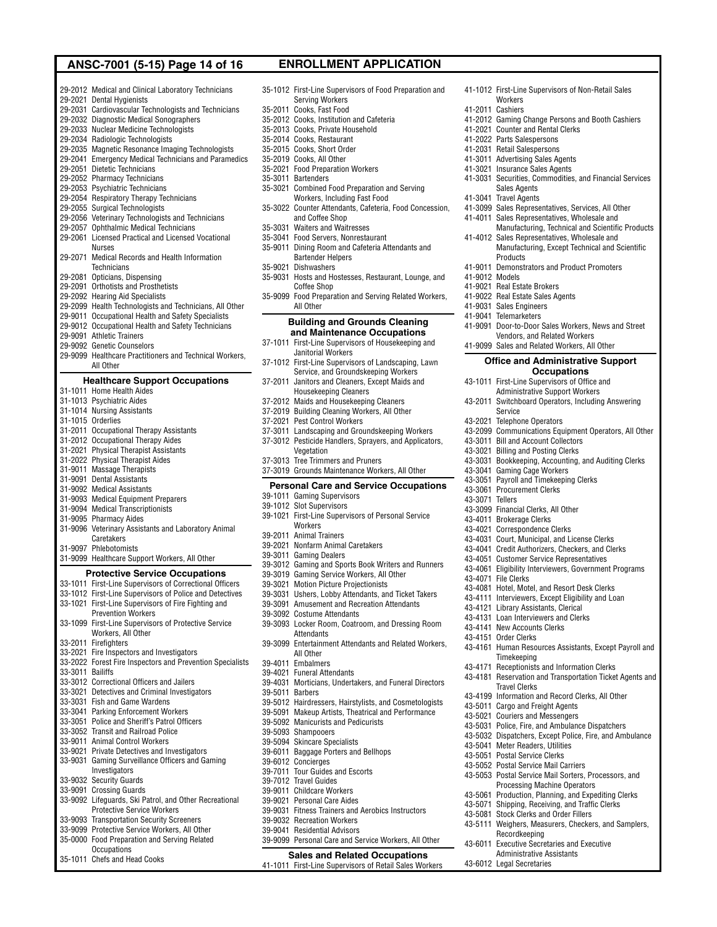# ANSC-7001 (5-15) Page 14 of 16 ENROLLMENT APPLICATION

29-2012 Medical and Clinical Laboratory Technicians

- 29-2021 Dental Hygienists
- 29-2031 Cardiovascular Technologists and Technicians
- 29-2032 Diagnostic Medical Sonographers 29-2033 Nuclear Medicine Technologists
- 29-2034 Radiologic Technologists
- 29-2035 Magnetic Resonance Imaging Technologists
- 29-2041 Emergency Medical Technicians and Paramedics
- 29-2051 Dietetic Technicians
- 29-2052 Pharmacy Technicians
- 29-2053 Psychiatric Technicians
- 29-2054 Respiratory Therapy Technicians
- 29-2055 Surgical Technologists
- 29-2056 Veterinary Technologists and Technicians
- 29-2057 Ophthalmic Medical Technicians
- 29-2061 Licensed Practical and Licensed Vocational Nurses 29-2071 Medical Records and Health Information
- **Technicians** 29-2081 Opticians, Dispensing
- 
- 29-2091 Orthotists and Prosthetists 29-2092 Hearing Aid Specialists
- 
- 29-2099 Health Technologists and Technicians, All Other 29-9011 Occupational Health and Safety Specialists
- 29-9012 Occupational Health and Safety Technicians
- 29-9091 Athletic Trainers
- 29-9092 Genetic Counselors
- 29-9099 Healthcare Practitioners and Technical Workers, All Other

### **Healthcare Support Occupations**

- 31-1011 Home Health Aides 31-1013 Psychiatric Aides 31-1014 Nursing Assistants 31-1015 Orderlies 31-2011 Occupational Therapy Assistants 31-2012 Occupational Therapy Aides
- 
- 31-2021 Physical Therapist Assistants
- 31-2022 Physical Therapist Aides
- 31-9011 Massage Therapists
- 31-9091 Dental Assistants
- 31-9092 Medical Assistants
- 31-9093 Medical Equipment Preparers
- 31-9094 Medical Transcriptionists

**Occupations** 35-1011 Chefs and Head Cooks

- 31-9095 Pharmacy Aides
- 31-9096 Veterinary Assistants and Laboratory Animal **Caretakers**
- 31-9097 Phlebotomists 31-9099 Healthcare Support Workers, All Other

**Protective Service Occupations** 33-1011 First-Line Supervisors of Correctional Officers 33-1012 First-Line Supervisors of Police and Detectives 33-1021 First-Line Supervisors of Fire Fighting and Prevention Workers 33-1099 First-Line Supervisors of Protective Service Workers, All Other 33-2011 Firefighters 33-2021 Fire Inspectors and Investigators 33-2022 Forest Fire Inspectors and Prevention Specialists 33-3011 Bailiffs 33-3012 Correctional Officers and Jailers 33-3021 Detectives and Criminal Investigators 33-3031 Fish and Game Wardens 33-3041 Parking Enforcement Workers 33-3051 Police and Sheriff's Patrol Officers 33-3052 Transit and Railroad Police 33-9011 Animal Control Workers 33-9021 Private Detectives and Investigators 33-9031 Gaming Surveillance Officers and Gaming Investigators 33-9032 Security Guards 33-9091 Crossing Guards 33-9092 Lifeguards, Ski Patrol, and Other Recreational Protective Service Workers 33-9093 Transportation Security Screeners 33-9099 Protective Service Workers, All Other 35-0000 Food Preparation and Serving Related

35-1012 First-Line Supervisors of Food Preparation and Serving Workers 35-2011 Cooks, Fast Food 35-2012 Cooks, Institution and Cafeteria

41-1012 First-Line Supervisors of Non-Retail Sales

41-2012 Gaming Change Persons and Booth Cashiers

41-3031 Securities, Commodities, and Financial Services

Manufacturing, Technical and Scientific Products

Manufacturing, Except Technical and Scientific

41-3099 Sales Representatives, Services, All Other 41-4011 Sales Representatives, Wholesale and

41-4012 Sales Representatives, Wholesale and

41-9011 Demonstrators and Product Promoters

41-9091 Door-to-Door Sales Workers, News and Street Vendors, and Related Workers 41-9099 Sales and Related Workers, All Other

> **Office and Administrative Support Occupations**

43-2099 Communications Equipment Operators, All Other

43-3031 Bookkeeping, Accounting, and Auditing Clerks

43-1011 First-Line Supervisors of Office and Administrative Support Workers 43-2011 Switchboard Operators, Including Answering

**Workers** 41-2011 Cashiers

41-2021 Counter and Rental Clerks 41-2022 Parts Salespersons 41-2031 Retail Salespersons 41-3011 Advertising Sales Agents 41-3021 Insurance Sales Agents

Sales Agents 41-3041 Travel Agents

Products

Service 43-2021 Telephone Operators

43-3011 Bill and Account Collectors 43-3021 Billing and Posting Clerks

43-3041 Gaming Cage Workers 43-3051 Payroll and Timekeeping Clerks 43-3061 Procurement Clerks 43-3071 Tellers

43-3099 Financial Clerks, All Other 43-4011 Brokerage Clerks 43-4021 Correspondence Clerks

Timekeeping

Travel Clerks

43-5011 Cargo and Freight Agents 43-5021 Couriers and Messengers

43-5041 Meter Readers, Utilities 43-5051 Postal Service Clerks 43-5052 Postal Service Mail Carriers

Recordkeeping 43-6011 Executive Secretaries and Executive Administrative Assistants

43-6012 Legal Secretaries

43-4071 File Clerks

43-4031 Court, Municipal, and License Clerks 43-4041 Credit Authorizers, Checkers, and Clerks 43-4051 Customer Service Representatives 43-4061 Eligibility Interviewers, Government Programs

43-4081 Hotel, Motel, and Resort Desk Clerks 43-4111 Interviewers, Except Eligibility and Loan 43-4121 Library Assistants, Clerical 43-4131 Loan Interviewers and Clerks 43-4141 New Accounts Clerks 43-4151 Order Clerks

43-4171 Receptionists and Information Clerks 43-4181 Reservation and Transportation Ticket Agents and

43-4199 Information and Record Clerks, All Other

43-5031 Police, Fire, and Ambulance Dispatchers 43-5032 Dispatchers, Except Police, Fire, and Ambulance

43-5053 Postal Service Mail Sorters, Processors, and Processing Machine Operators 43-5061 Production, Planning, and Expediting Clerks 43-5071 Shipping, Receiving, and Traffic Clerks 43-5081 Stock Clerks and Order Fillers

43-5111 Weighers, Measurers, Checkers, and Samplers,

43-4161 Human Resources Assistants, Except Payroll and

41-9012 Models 41-9021 Real Estate Brokers 41-9022 Real Estate Sales Agents 41-9031 Sales Engineers 41-9041 Telemarketers

- 35-2013 Cooks, Private Household
- 35-2014 Cooks, Restaurant
- 35-2015 Cooks, Short Order
- 35-2019 Cooks, All Other
- 35-2021 Food Preparation Workers
- 35-3011 Bartenders
- 35-3021 Combined Food Preparation and Serving Workers, Including Fast Food
- 35-3022 Counter Attendants, Cafeteria, Food Concession, and Coffee Shop
- 35-3031 Waiters and Waitresses
- 35-3041 Food Servers, Nonrestaurant
- 35-9011 Dining Room and Cafeteria Attendants and Bartender Helpers
- 35-9021 Dishwashers
- 35-9031 Hosts and Hostesses, Restaurant, Lounge, and Coffee Shop
- 35-9099 Food Preparation and Serving Related Workers, All Other

### **Building and Grounds Cleaning and Maintenance Occupations**

- 37-1011 First-Line Supervisors of Housekeeping and Janitorial Workers
- 37-1012 First-Line Supervisors of Landscaping, Lawn Service, and Groundskeeping Workers
- 37-2011 Janitors and Cleaners, Except Maids and
- Housekeeping Cleaners
- 37-2012 Maids and Housekeeping Cleaners
- 37-2019 Building Cleaning Workers, All Other
- 37-2021 Pest Control Workers
- 37-3011 Landscaping and Groundskeeping Workers
- 37-3012 Pesticide Handlers, Sprayers, and Applicators, Vegetation
- 37-3013 Tree Trimmers and Pruners 37-3019 Grounds Maintenance Workers, All Other

### **Personal Care and Service Occupations** 39-1011 Gaming Supervisors

- 39-1012 Slot Supervisors
- 39-1021 First-Line Supervisors of Personal Service **Workers**
- 39-2011 Animal Trainers
- 39-2021 Nonfarm Animal Caretakers
- 39-3011 Gaming Dealers
- 39-3012 Gaming and Sports Book Writers and Runners
- 39-3019 Gaming Service Workers, All Other
- 39-3021 Motion Picture Projectionists
- 39-3031 Ushers, Lobby Attendants, and Ticket Takers
- 39-3091 Amusement and Recreation Attendants
- 39-3092 Costume Attendants
- 39-3093 Locker Room, Coatroom, and Dressing Room **Attendants**
- 39-3099 Entertainment Attendants and Related Workers, All Other
- 39-4011 Embalmers
- 39-4021 Funeral Attendants
- 39-4031 Morticians, Undertakers, and Funeral Directors
- 39-5011 Barbers
- 39-5012 Hairdressers, Hairstylists, and Cosmetologists
- 39-5091 Makeup Artists, Theatrical and Performance
- 39-5092 Manicurists and Pedicurists
- 39-5093 Shampooers
- 39-5094 Skincare Specialists
- 39-6011 Baggage Porters and Bellhops
- 39-6012 Concierges
- 39-7011 Tour Guides and Escorts
- 39-7012 Travel Guides
- 39-9011 Childcare Workers
- 39-9021 Personal Care Aides 39-9031 Fitness Trainers and Aerobics Instructors
- 39-9032 Recreation Workers

**Sales and Related Occupations** 41-1011 First-Line Supervisors of Retail Sales Workers

- 39-9041 Residential Advisors
- 39-9099 Personal Care and Service Workers, All Other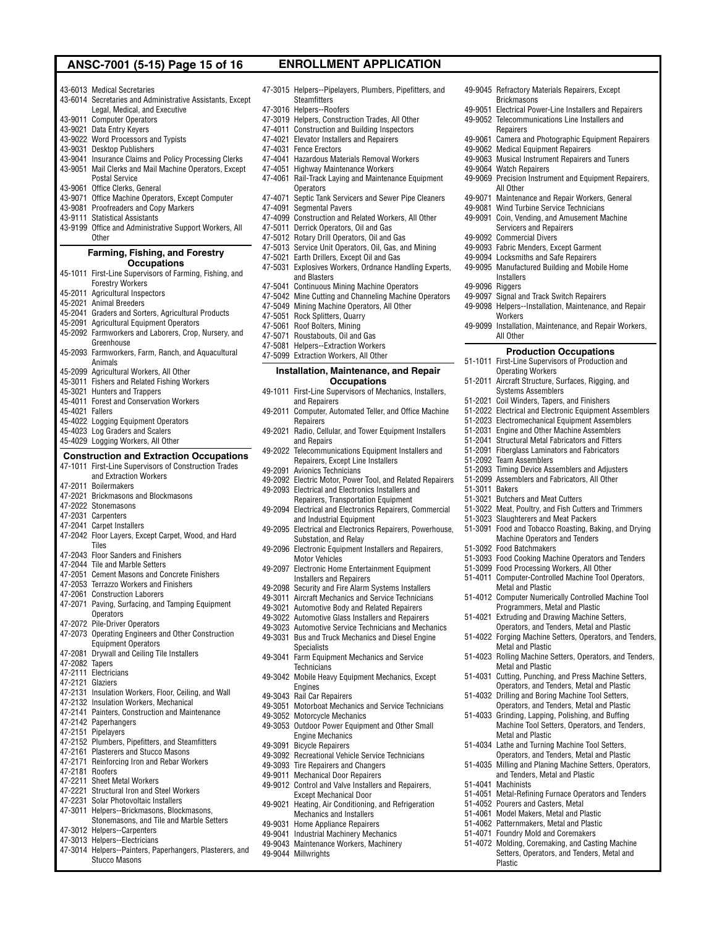# ANSC-7001 (5-15) Page 15 of 16 ENROLLMENT APPLICATION

49-9045 Refractory Materials Repairers, Except

49-9051 Electrical Power-Line Installers and Repairers 49-9052 Telecommunications Line Installers and

49-9061 Camera and Photographic Equipment Repairers

49-9069 Precision Instrument and Equipment Repairers,

49-9071 Maintenance and Repair Workers, General 49-9081 Wind Turbine Service Technicians 49-9091 Coin, Vending, and Amusement Machine Servicers and Repairers

Brickmasons

Repairers

49-9064 Watch Repairers

All Other

49-9092 Commercial Divers

**Installers** 49-9096 Riggers

Workers

All Other

51-2092 Team Assemblers

51-3092 Food Batchmakers

51-3021 Butchers and Meat Cutters

Metal and Plastic

Metal and Plastic

Metal and Plastic

Metal and Plastic

51-4052 Pourers and Casters, Metal 51-4061 Model Makers, Metal and Plastic 51-4062 Patternmakers, Metal and Plastic 51-4071 Foundry Mold and Coremakers 51-4072 Molding, Coremaking, and Casting Machine Setters, Operators, and Tenders, Metal and

51-4041 Machinists

Plastic

51-4034 Lathe and Turning Machine Tool Setters, Operators, and Tenders, Metal and Plastic 51-4035 Milling and Planing Machine Setters, Operators, and Tenders, Metal and Plastic

51-4051 Metal-Refining Furnace Operators and Tenders

51-3023 Slaughterers and Meat Packers

51-3011 Bakers

49-9093 Fabric Menders, Except Garment 49-9094 Locksmiths and Safe Repairers 49-9095 Manufactured Building and Mobile Home

49-9097 Signal and Track Switch Repairers 49-9098 Helpers--Installation, Maintenance, and Repair

49-9099 Installation, Maintenance, and Repair Workers,

51-2093 Timing Device Assemblers and Adjusters 51-2099 Assemblers and Fabricators, All Other

51-3022 Meat, Poultry, and Fish Cutters and Trimmers

51-3091 Food and Tobacco Roasting, Baking, and Drying Machine Operators and Tenders

51-3093 Food Cooking Machine Operators and Tenders 51-3099 Food Processing Workers, All Other 51-4011 Computer-Controlled Machine Tool Operators,

51-4012 Computer Numerically Controlled Machine Tool Programmers, Metal and Plastic 51-4021 Extruding and Drawing Machine Setters, Operators, and Tenders, Metal and Plastic 51-4022 Forging Machine Setters, Operators, and Tenders,

51-4023 Rolling Machine Setters, Operators, and Tenders,

51-4031 Cutting, Punching, and Press Machine Setters, Operators, and Tenders, Metal and Plastic 51-4032 Drilling and Boring Machine Tool Setters, Operators, and Tenders, Metal and Plastic 51-4033 Grinding, Lapping, Polishing, and Buffing

Machine Tool Setters, Operators, and Tenders,

**Production Occupations** 51-1011 First-Line Supervisors of Production and Operating Workers 51-2011 Aircraft Structure, Surfaces, Rigging, and Systems Assemblers 51-2021 Coil Winders, Tapers, and Finishers 51-2022 Electrical and Electronic Equipment Assemblers 51-2023 Electromechanical Equipment Assemblers 51-2031 Engine and Other Machine Assemblers 51-2041 Structural Metal Fabricators and Fitters 51-2091 Fiberglass Laminators and Fabricators

49-9062 Medical Equipment Repairers 49-9063 Musical Instrument Repairers and Tuners

43-6013 Medical Secretaries

- 43-6014 Secretaries and Administrative Assistants, Except
- Legal, Medical, and Executive
- 43-9011 Computer Operators
- 43-9021 Data Entry Keyers
- 43-9022 Word Processors and Typists 43-9031 Desktop Publishers
- 
- 43-9041 Insurance Claims and Policy Processing Clerks
- 43-9051 Mail Clerks and Mail Machine Operators, Except Postal Service
- 43-9061 Office Clerks, General
- 43-9071 Office Machine Operators, Except Computer
- 43-9081 Proofreaders and Copy Markers
- 43-9111 Statistical Assistants
- 43-9199 Office and Administrative Support Workers, All **Other**

### **Farming, Fishing, and Forestry Occupations**

- 45-1011 First-Line Supervisors of Farming, Fishing, and Forestry Workers
- 45-2011 Agricultural Inspectors
- 45-2021 Animal Breeders
- 45-2041 Graders and Sorters, Agricultural Products
- 45-2091 Agricultural Equipment Operators
- 45-2092 Farmworkers and Laborers, Crop, Nursery, and Greenhouse
- 45-2093 Farmworkers, Farm, Ranch, and Aquacultural Animals
- 45-2099 Agricultural Workers, All Other
- 45-3011 Fishers and Related Fishing Workers
- 45-3021 Hunters and Trappers
- 45-4011 Forest and Conservation Workers
- 45-4021 Fallers
- 45-4022 Logging Equipment Operators
- 45-4023 Log Graders and Scalers
- 45-4029 Logging Workers, All Other

### **Construction and Extraction Occupations**

- 47-1011 First-Line Supervisors of Construction Trades and Extraction Workers
- 47-2011 Boilermakers
- 47-2021 Brickmasons and Blockmasons
- 47-2022 Stonemasons
- 47-2031 Carpenters
- 47-2041 Carpet Installers
- 47-2042 Floor Layers, Except Carpet, Wood, and Hard Tiles
- 47-2043 Floor Sanders and Finishers
- 47-2044 Tile and Marble Setters
- 47-2051 Cement Masons and Concrete Finishers
- 47-2053 Terrazzo Workers and Finishers
- 47-2061 Construction Laborers
- 47-2071 Paving, Surfacing, and Tamping Equipment **Operators**
- 47-2072 Pile-Driver Operators
- 47-2073 Operating Engineers and Other Construction Equipment Operators
- 47-2081 Drywall and Ceiling Tile Installers
- 47-2082 Tapers
- 47-2111 Electricians
- 47-2121 Glaziers
- 47-2131 Insulation Workers, Floor, Ceiling, and Wall
- 47-2132 Insulation Workers, Mechanical
- 47-2141 Painters, Construction and Maintenance
- 47-2142 Paperhangers
- 47-2151 Pipelayers
- 47-2152 Plumbers, Pipefitters, and Steamfitters
- 47-2161 Plasterers and Stucco Masons
- 47-2171 Reinforcing Iron and Rebar Workers
- 47-2181 Roofers
- 47-2211 Sheet Metal Workers
- 47-2221 Structural Iron and Steel Workers 47-2231 Solar Photovoltaic Installers
- 47-3011 Helpers--Brickmasons, Blockmasons,
- Stonemasons, and Tile and Marble Setters
- 47-3012 Helpers--Carpenters
- 47-3013 Helpers--Electricians
- 47-3014 Helpers--Painters, Paperhangers, Plasterers, and Stucco Masons
- 47-3015 Helpers--Pipelayers, Plumbers, Pipefitters, and **Steamfitters** 47-3016 Helpers--Roofers 47-3019 Helpers, Construction Trades, All Other 47-4011 Construction and Building Inspectors 47-4021 Elevator Installers and Repairers
- 47-4031 Fence Erectors
- 47-4041 Hazardous Materials Removal Workers
- 47-4051 Highway Maintenance Workers
- 47-4061 Rail-Track Laying and Maintenance Equipment **Operators**
- 47-4071 Septic Tank Servicers and Sewer Pipe Cleaners
- 47-4091 Segmental Pavers
- 47-4099 Construction and Related Workers, All Other
- 47-5011 Derrick Operators, Oil and Gas
- 47-5012 Rotary Drill Operators, Oil and Gas
- 47-5013 Service Unit Operators, Oil, Gas, and Mining
- 47-5021 Earth Drillers, Except Oil and Gas
- 47-5031 Explosives Workers, Ordnance Handling Experts,
- and Blasters
- 47-5041 Continuous Mining Machine Operators
- 47-5042 Mine Cutting and Channeling Machine Operators
- 47-5049 Mining Machine Operators, All Other
- 47-5051 Rock Splitters, Quarry
- 47-5061 Roof Bolters, Mining
- 
- 47-5071 Roustabouts, Oil and Gas 47-5081 Helpers--Extraction Workers
- 47-5099 Extraction Workers, All Other

### **Installation, Maintenance, and Repair Occupations**

- 49-1011 First-Line Supervisors of Mechanics, Installers, and Repairers
- 49-2011 Computer, Automated Teller, and Office Machine **Repairers**
- 49-2021 Radio, Cellular, and Tower Equipment Installers and Repairs
- 49-2022 Telecommunications Equipment Installers and Repairers, Except Line Installers
- 49-2091 Avionics Technicians

Motor Vehicles

**Specialists** 

**Technicians** 

49-3052 Motorcycle Mechanics

Engine Mechanics 49-3091 Bicycle Repairers

Engines 49-3043 Rail Car Repairers

49-9044 Millwrights

- 49-2092 Electric Motor, Power Tool, and Related Repairers 49-2093 Electrical and Electronics Installers and
- Repairers, Transportation Equipment 49-2094 Electrical and Electronics Repairers, Commercial
- and Industrial Equipment
- 49-2095 Electrical and Electronics Repairers, Powerhouse, Substation, and Relay 49-2096 Electronic Equipment Installers and Repairers,

49-2097 Electronic Home Entertainment Equipment Installers and Repairers 49-2098 Security and Fire Alarm Systems Installers 49-3011 Aircraft Mechanics and Service Technicians 49-3021 Automotive Body and Related Repairers 49-3022 Automotive Glass Installers and Repairers 49-3023 Automotive Service Technicians and Mechanics 49-3031 Bus and Truck Mechanics and Diesel Engine

49-3041 Farm Equipment Mechanics and Service

49-3042 Mobile Heavy Equipment Mechanics, Except

49-3051 Motorboat Mechanics and Service Technicians

49-3053 Outdoor Power Equipment and Other Small

49-3092 Recreational Vehicle Service Technicians 49-3093 Tire Repairers and Changers 49-9011 Mechanical Door Repairers

49-9012 Control and Valve Installers and Repairers, Except Mechanical Door 49-9021 Heating, Air Conditioning, and Refrigeration Mechanics and Installers 49-9031 Home Appliance Repairers 49-9041 Industrial Machinery Mechanics 49-9043 Maintenance Workers, Machinery